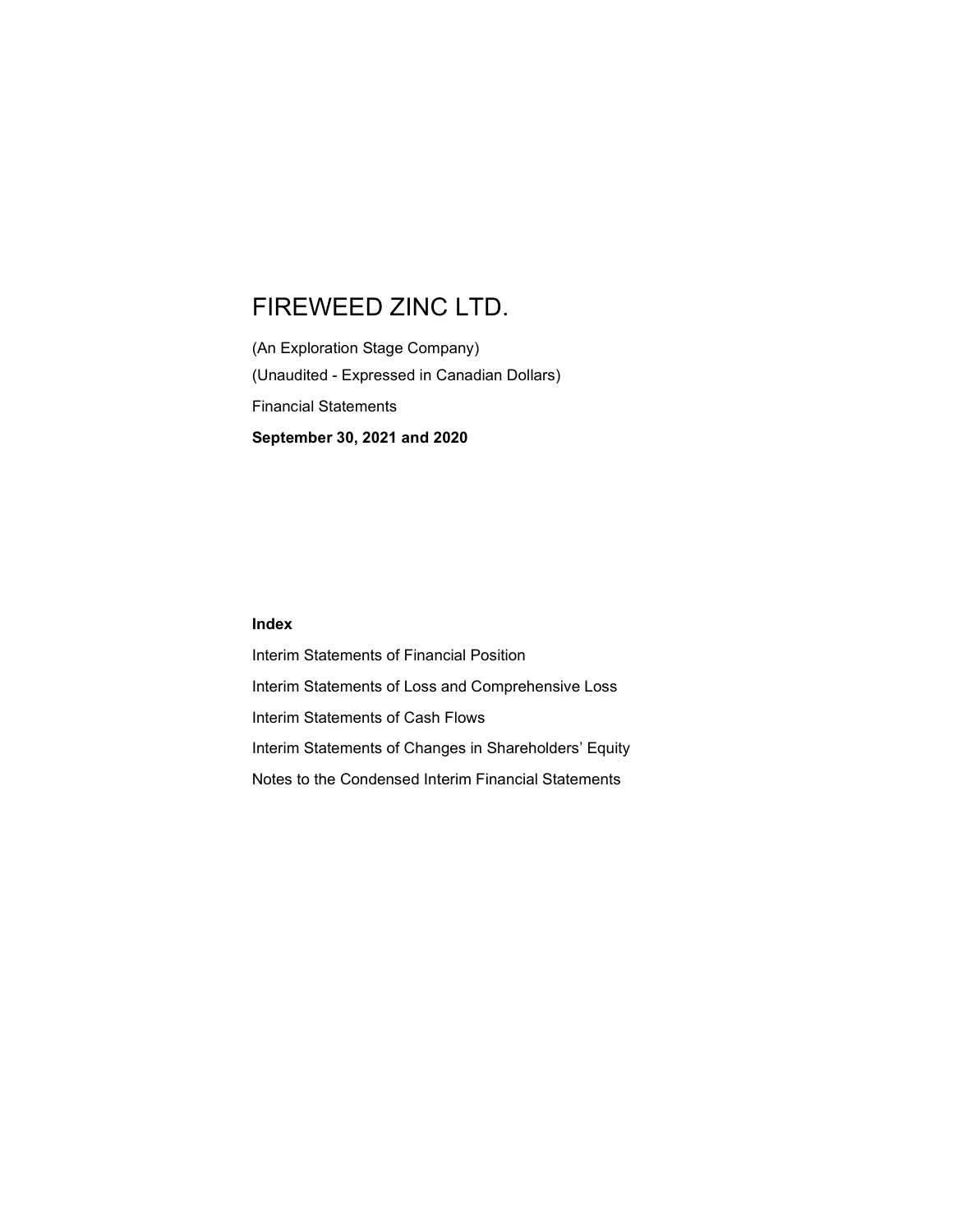(An Exploration Stage Company) (Unaudited - Expressed in Canadian Dollars) Financial Statements September 30, 2021 and 2020

#### Index

Interim Statements of Financial Position Interim Statements of Loss and Comprehensive Loss Interim Statements of Cash Flows Interim Statements of Changes in Shareholders' Equity Notes to the Condensed Interim Financial Statements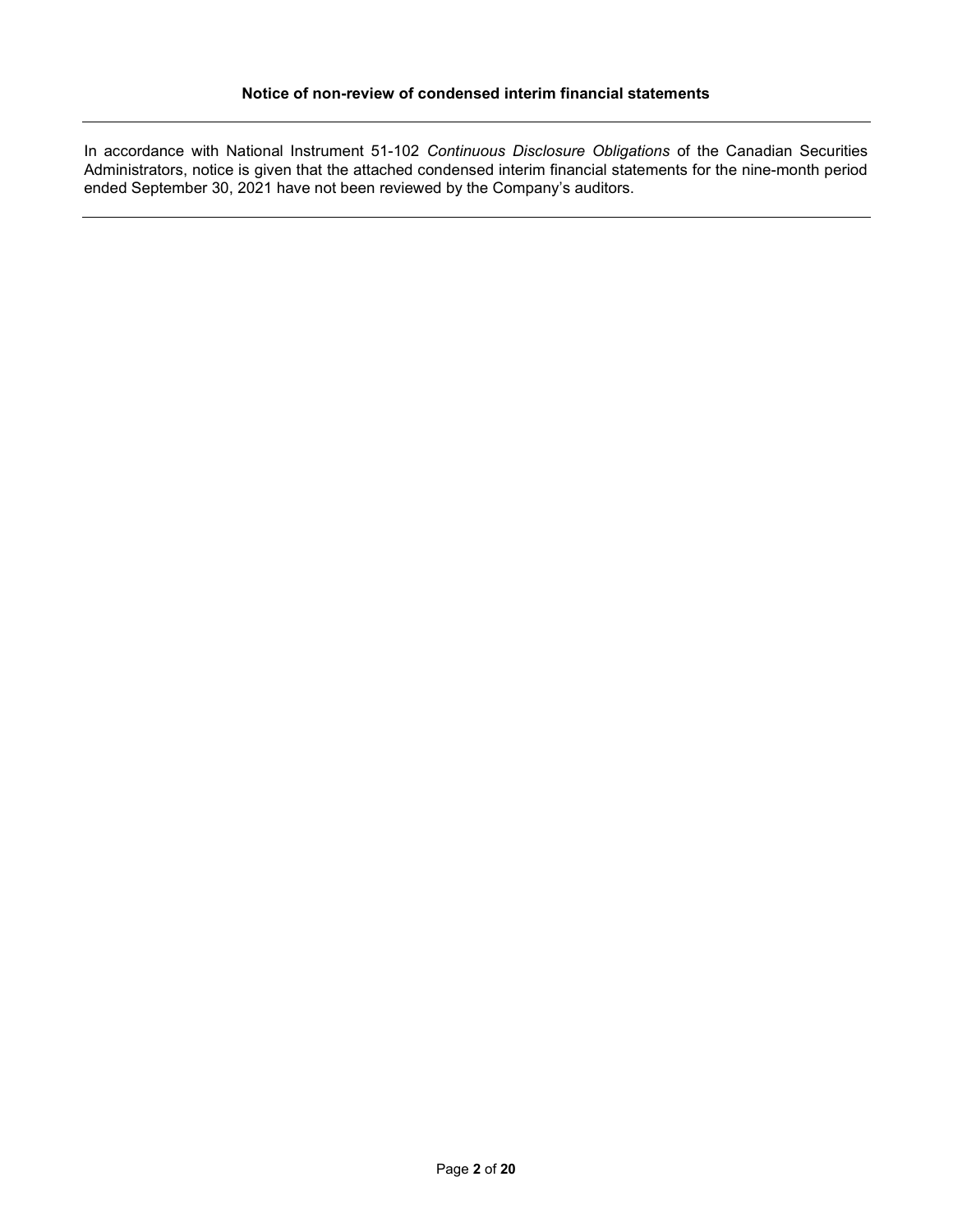In accordance with National Instrument 51-102 Continuous Disclosure Obligations of the Canadian Securities Administrators, notice is given that the attached condensed interim financial statements for the nine-month period ended September 30, 2021 have not been reviewed by the Company's auditors.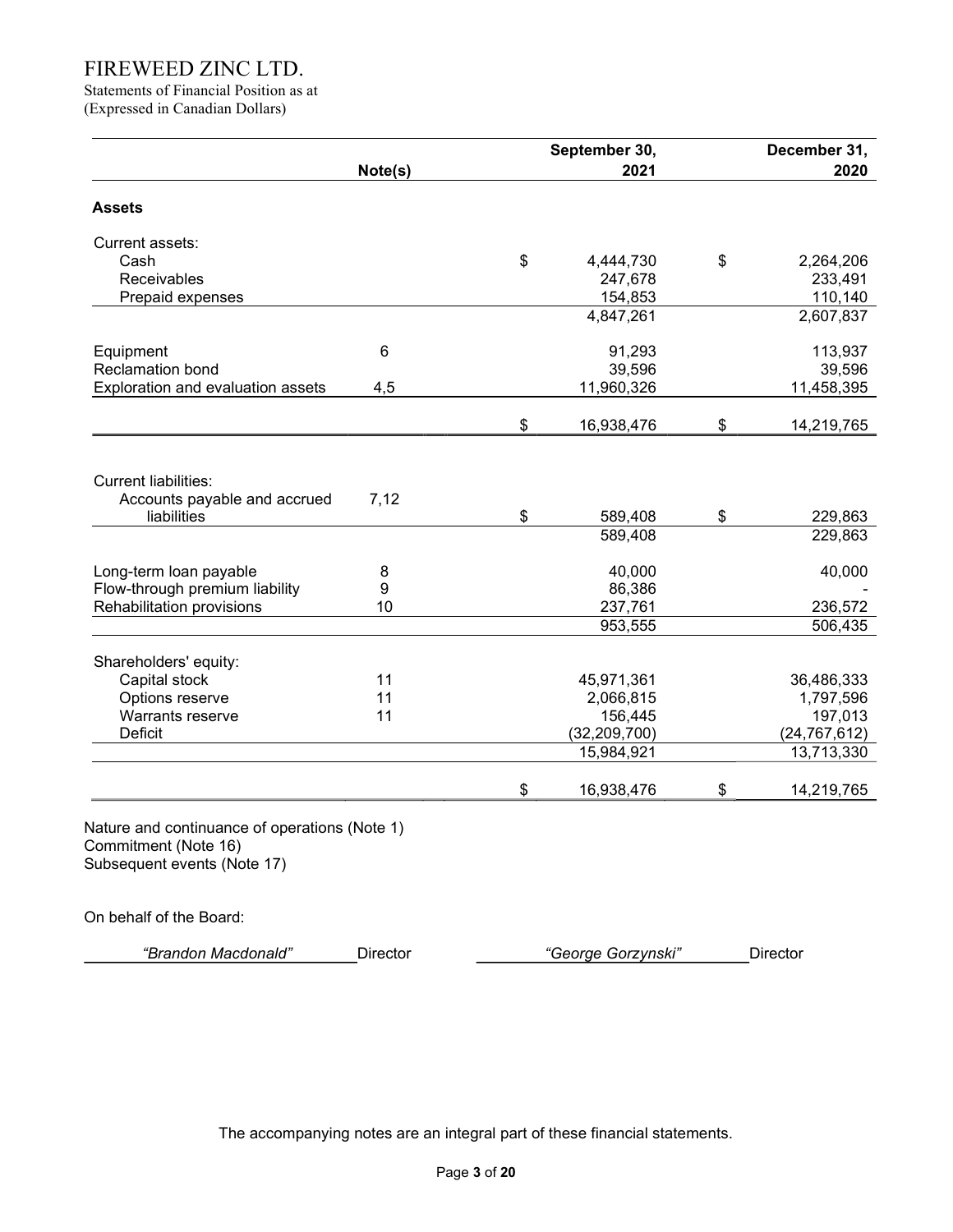Statements of Financial Position as at (Expressed in Canadian Dollars)

|         |                                | September 30, |                                                                                                                                                | December 31,       |
|---------|--------------------------------|---------------|------------------------------------------------------------------------------------------------------------------------------------------------|--------------------|
| Note(s) |                                | 2021          |                                                                                                                                                | 2020               |
|         |                                |               |                                                                                                                                                |                    |
|         |                                |               |                                                                                                                                                |                    |
|         |                                |               | \$                                                                                                                                             | 2,264,206          |
|         |                                | 247,678       |                                                                                                                                                | 233,491            |
|         |                                | 154,853       |                                                                                                                                                | 110,140            |
|         |                                | 4,847,261     |                                                                                                                                                | 2,607,837          |
| 6       |                                | 91,293        |                                                                                                                                                | 113,937            |
|         |                                |               |                                                                                                                                                | 39,596             |
| 4,5     |                                | 11,960,326    |                                                                                                                                                | 11,458,395         |
|         | \$                             |               | \$                                                                                                                                             | 14,219,765         |
| 7,12    | \$                             | 589,408       | \$                                                                                                                                             | 229,863<br>229,863 |
|         |                                |               |                                                                                                                                                |                    |
|         |                                |               |                                                                                                                                                | 40,000             |
|         |                                |               |                                                                                                                                                |                    |
|         |                                |               |                                                                                                                                                | 236,572            |
|         |                                |               |                                                                                                                                                | 506,435            |
|         |                                |               |                                                                                                                                                | 36,486,333         |
|         |                                |               |                                                                                                                                                | 1,797,596          |
|         |                                |               |                                                                                                                                                | 197,013            |
|         |                                |               |                                                                                                                                                | (24, 767, 612)     |
|         |                                | 15,984,921    |                                                                                                                                                | 13,713,330         |
|         | \$                             | 16,938,476    | \$                                                                                                                                             | 14,219,765         |
|         | 8<br>9<br>10<br>11<br>11<br>11 | \$            | 4,444,730<br>39,596<br>16,938,476<br>589,408<br>40,000<br>86,386<br>237,761<br>953,555<br>45,971,361<br>2,066,815<br>156,445<br>(32, 209, 700) |                    |

On behalf of the Board:

|  | "Brandon Macdonald" | Jirector | George Gorzynski" |  |
|--|---------------------|----------|-------------------|--|
|--|---------------------|----------|-------------------|--|

The accompanying notes are an integral part of these financial statements.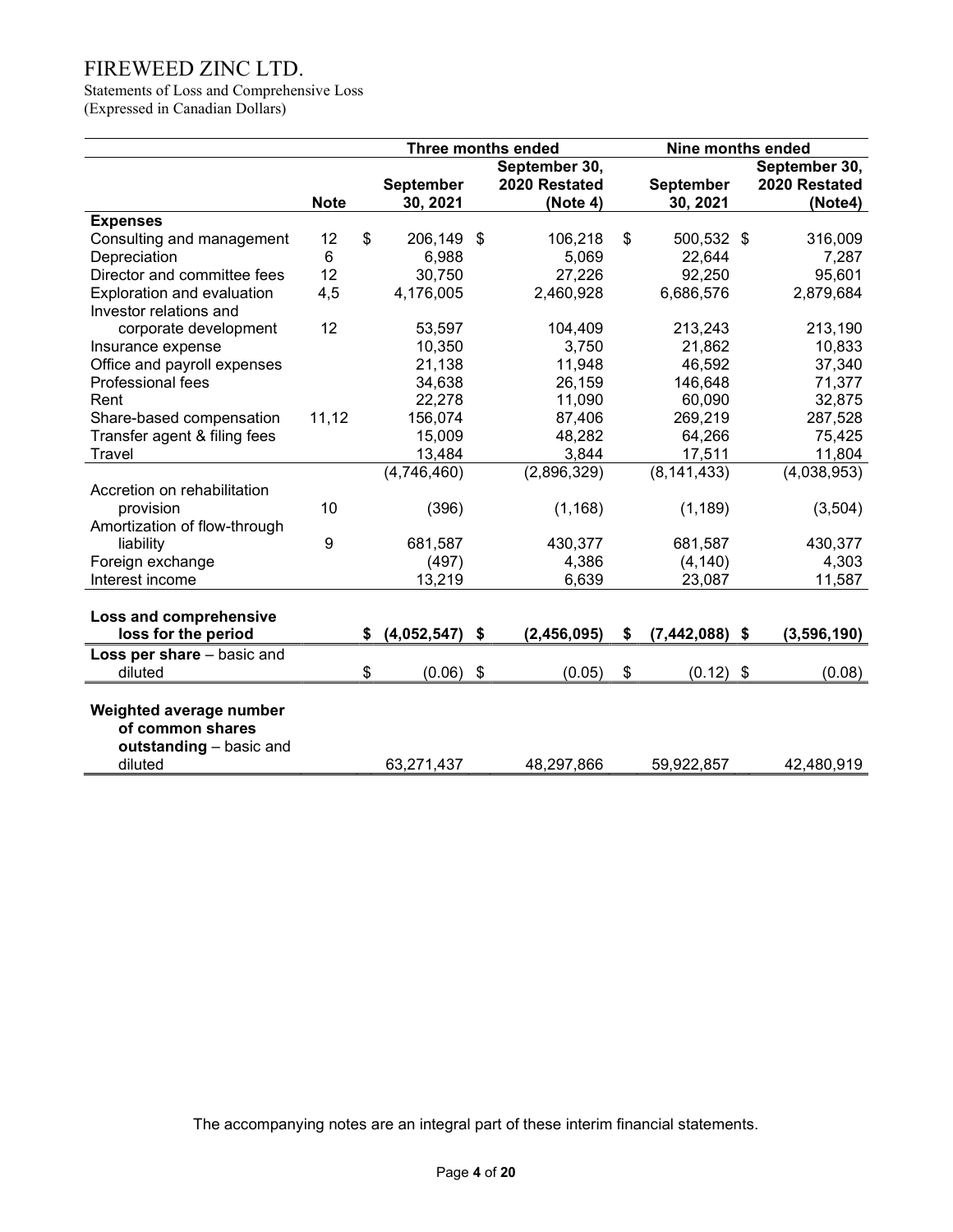Statements of Loss and Comprehensive Loss (Expressed in Canadian Dollars)

|                              |             |    | <b>Three months ended</b> |                           |               |    | Nine months ended |                     |
|------------------------------|-------------|----|---------------------------|---------------------------|---------------|----|-------------------|---------------------|
|                              |             |    |                           |                           | September 30, |    |                   | September 30,       |
|                              |             |    | <b>September</b>          |                           | 2020 Restated |    | <b>September</b>  | 2020 Restated       |
|                              | <b>Note</b> |    | 30, 2021                  |                           | (Note 4)      |    | 30, 2021          | (Note4)             |
| <b>Expenses</b>              |             |    |                           |                           |               |    |                   |                     |
| Consulting and management    | 12          | \$ | 206,149                   | \$                        | 106,218       | \$ | 500,532 \$        | 316,009             |
| Depreciation                 | 6           |    | 6,988                     |                           | 5,069         |    | 22,644            | 7,287               |
| Director and committee fees  | 12          |    | 30,750                    |                           | 27,226        |    | 92,250            | 95,601              |
| Exploration and evaluation   | 4,5         |    | 4,176,005                 |                           | 2,460,928     |    | 6,686,576         | 2,879,684           |
| Investor relations and       |             |    |                           |                           |               |    |                   |                     |
| corporate development        | 12          |    | 53,597                    |                           | 104,409       |    | 213,243           | 213,190             |
| Insurance expense            |             |    | 10,350                    |                           | 3,750         |    | 21,862            | 10,833              |
| Office and payroll expenses  |             |    | 21,138                    |                           | 11,948        |    | 46,592            | 37,340              |
| Professional fees            |             |    | 34,638                    |                           | 26,159        |    | 146,648           | 71,377              |
| Rent                         |             |    | 22,278                    |                           | 11,090        |    | 60,090            | 32,875              |
| Share-based compensation     | 11,12       |    | 156,074                   |                           | 87,406        |    | 269,219           | 287,528             |
| Transfer agent & filing fees |             |    | 15,009                    |                           | 48,282        |    | 64,266            | 75,425              |
| Travel                       |             |    | 13,484                    |                           | 3,844         |    | 17,511            | 11,804              |
|                              |             |    | (4,746,460)               |                           | (2,896,329)   |    | (8, 141, 433)     | (4,038,953)         |
| Accretion on rehabilitation  |             |    |                           |                           |               |    |                   |                     |
| provision                    | 10          |    | (396)                     |                           | (1, 168)      |    | (1, 189)          | (3,504)             |
| Amortization of flow-through |             |    |                           |                           |               |    |                   |                     |
| liability                    | 9           |    | 681,587                   |                           | 430,377       |    | 681,587           | 430,377             |
| Foreign exchange             |             |    | (497)                     |                           | 4,386         |    | (4, 140)          | 4,303               |
| Interest income              |             |    | 13,219                    |                           | 6,639         |    | 23,087            | 11,587              |
|                              |             |    |                           |                           |               |    |                   |                     |
| Loss and comprehensive       |             |    |                           |                           |               |    |                   |                     |
| loss for the period          |             | S. | (4,052,547)               | \$                        | (2,456,095)   | \$ | (7, 442, 088)     | \$<br>(3, 596, 190) |
| Loss per share - basic and   |             |    |                           |                           |               |    |                   |                     |
| diluted                      |             | \$ | (0.06)                    | $\boldsymbol{\mathsf{S}}$ | (0.05)        | \$ | $(0.12)$ \$       | (0.08)              |
|                              |             |    |                           |                           |               |    |                   |                     |
| Weighted average number      |             |    |                           |                           |               |    |                   |                     |
| of common shares             |             |    |                           |                           |               |    |                   |                     |
| outstanding - basic and      |             |    |                           |                           |               |    |                   |                     |
| diluted                      |             |    | 63,271,437                |                           | 48,297,866    |    | 59,922,857        | 42,480,919          |

The accompanying notes are an integral part of these interim financial statements.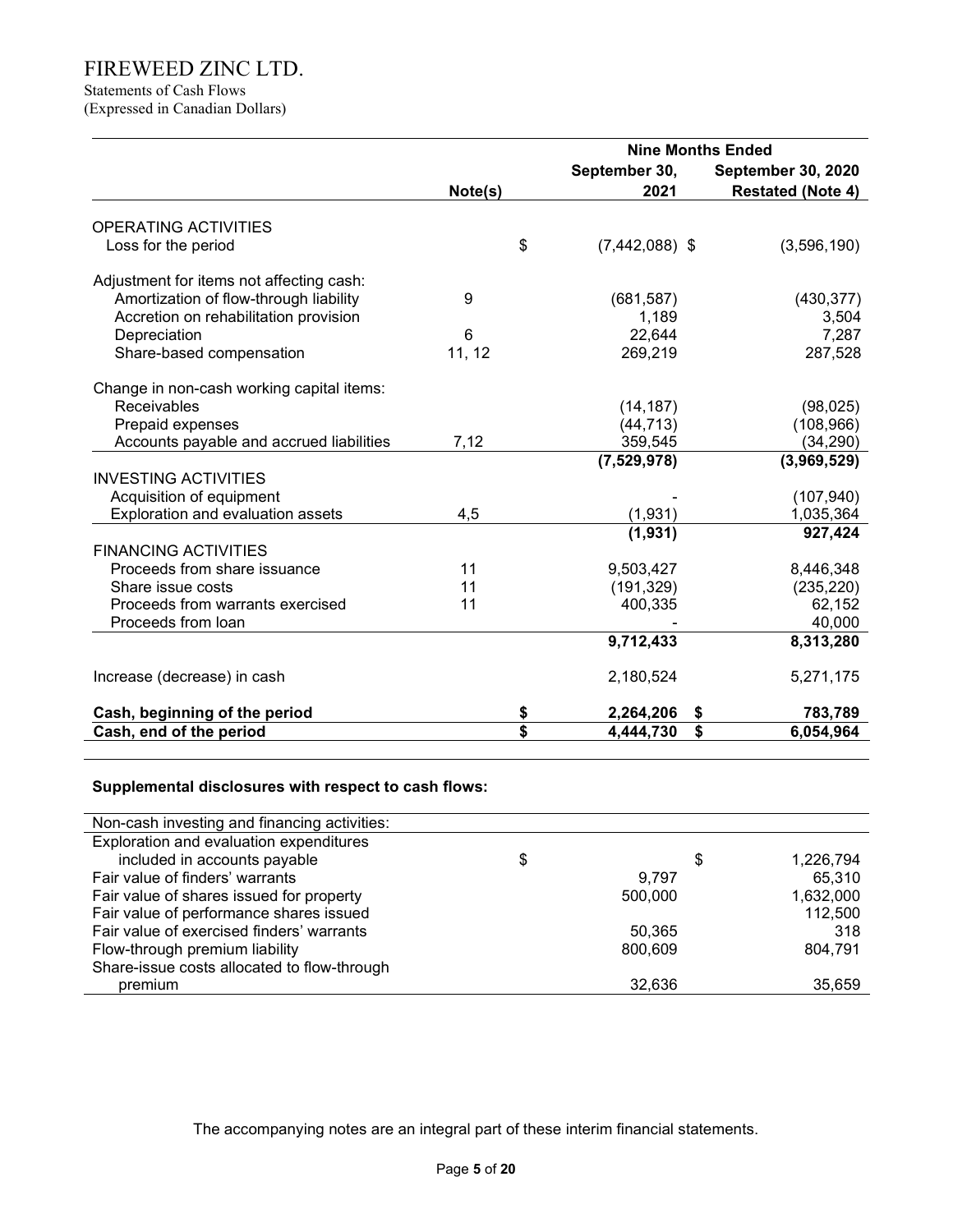# Statements of Cash Flows

(Expressed in Canadian Dollars)

|                                           |         | <b>Nine Months Ended</b> |                           |  |  |  |
|-------------------------------------------|---------|--------------------------|---------------------------|--|--|--|
|                                           |         | September 30,            | <b>September 30, 2020</b> |  |  |  |
|                                           | Note(s) | 2021                     | <b>Restated (Note 4)</b>  |  |  |  |
|                                           |         |                          |                           |  |  |  |
| <b>OPERATING ACTIVITIES</b>               |         |                          |                           |  |  |  |
| Loss for the period                       | \$      | $(7,442,088)$ \$         | (3,596,190)               |  |  |  |
| Adjustment for items not affecting cash:  |         |                          |                           |  |  |  |
| Amortization of flow-through liability    | 9       | (681, 587)               | (430, 377)                |  |  |  |
| Accretion on rehabilitation provision     |         | 1,189                    | 3,504                     |  |  |  |
| Depreciation                              | 6       | 22,644                   | 7,287                     |  |  |  |
| Share-based compensation                  | 11, 12  | 269,219                  | 287,528                   |  |  |  |
|                                           |         |                          |                           |  |  |  |
| Change in non-cash working capital items: |         |                          |                           |  |  |  |
| Receivables                               |         | (14, 187)                | (98, 025)                 |  |  |  |
| Prepaid expenses                          |         | (44, 713)                | (108, 966)                |  |  |  |
| Accounts payable and accrued liabilities  | 7,12    | 359,545                  | (34, 290)                 |  |  |  |
|                                           |         | (7,529,978)              | (3,969,529)               |  |  |  |
| <b>INVESTING ACTIVITIES</b>               |         |                          |                           |  |  |  |
| Acquisition of equipment                  |         |                          | (107, 940)                |  |  |  |
| Exploration and evaluation assets         | 4,5     | (1,931)                  | 1,035,364                 |  |  |  |
|                                           |         | (1,931)                  | 927,424                   |  |  |  |
| <b>FINANCING ACTIVITIES</b>               |         |                          |                           |  |  |  |
| Proceeds from share issuance              | 11      | 9,503,427                | 8,446,348                 |  |  |  |
| Share issue costs                         | 11      | (191, 329)               | (235, 220)                |  |  |  |
| Proceeds from warrants exercised          | 11      | 400,335                  | 62,152                    |  |  |  |
| Proceeds from loan                        |         |                          | 40,000                    |  |  |  |
|                                           |         | 9,712,433                | 8,313,280                 |  |  |  |
| Increase (decrease) in cash               |         | 2,180,524                | 5,271,175                 |  |  |  |
| Cash, beginning of the period             | \$      | 2,264,206                | 783,789<br>\$             |  |  |  |
| Cash, end of the period                   | \$      | 4,444,730                | \$<br>6,054,964           |  |  |  |

### Supplemental disclosures with respect to cash flows:

| Non-cash investing and financing activities: |         |                 |
|----------------------------------------------|---------|-----------------|
| Exploration and evaluation expenditures      |         |                 |
| included in accounts payable                 | \$      | \$<br>1,226,794 |
| Fair value of finders' warrants              | 9.797   | 65,310          |
| Fair value of shares issued for property     | 500,000 | 1,632,000       |
| Fair value of performance shares issued      |         | 112,500         |
| Fair value of exercised finders' warrants    | 50,365  | 318             |
| Flow-through premium liability               | 800,609 | 804,791         |
| Share-issue costs allocated to flow-through  |         |                 |
| premium                                      | 32,636  | 35,659          |

The accompanying notes are an integral part of these interim financial statements.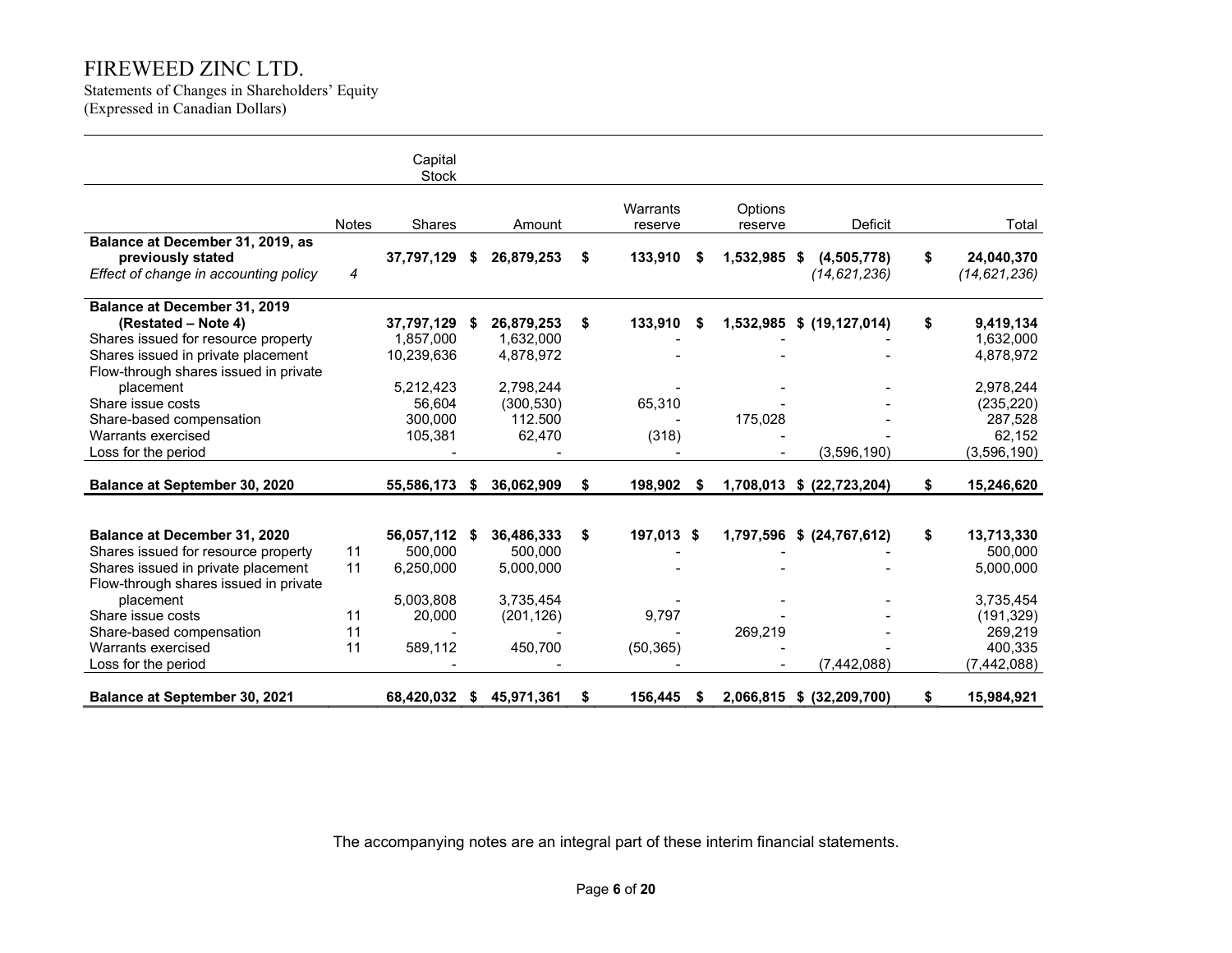Statements of Changes in Shareholders' Equity (Expressed in Canadian Dollars)

|                                       |              | Capital<br><b>Stock</b> |    |            |    |            |   |              |                           |                  |
|---------------------------------------|--------------|-------------------------|----|------------|----|------------|---|--------------|---------------------------|------------------|
|                                       |              |                         |    |            |    | Warrants   |   | Options      |                           |                  |
|                                       | <b>Notes</b> | Shares                  |    | Amount     |    | reserve    |   | reserve      | <b>Deficit</b>            | Total            |
| Balance at December 31, 2019, as      |              |                         |    |            |    |            |   |              |                           |                  |
| previously stated                     |              | 37,797,129              | S  | 26,879,253 | \$ | 133,910    | S | 1,532,985 \$ | (4,505,778)               | \$<br>24,040,370 |
| Effect of change in accounting policy | 4            |                         |    |            |    |            |   |              | (14, 621, 236)            | (14, 621, 236)   |
| Balance at December 31, 2019          |              |                         |    |            |    |            |   |              |                           |                  |
| (Restated – Note 4)                   |              | 37,797,129              | 5  | 26,879,253 | \$ | 133,910    | S | 1,532,985    | \$(19, 127, 014)          | \$<br>9,419,134  |
| Shares issued for resource property   |              | 1,857,000               |    | 1,632,000  |    |            |   |              |                           | 1,632,000        |
| Shares issued in private placement    |              | 10,239,636              |    | 4,878,972  |    |            |   |              |                           | 4,878,972        |
| Flow-through shares issued in private |              |                         |    |            |    |            |   |              |                           |                  |
| placement                             |              | 5,212,423               |    | 2,798,244  |    |            |   |              |                           | 2,978,244        |
| Share issue costs                     |              | 56,604                  |    | (300, 530) |    | 65,310     |   |              |                           | (235, 220)       |
| Share-based compensation              |              | 300,000                 |    | 112.500    |    |            |   | 175,028      |                           | 287,528          |
| Warrants exercised                    |              | 105,381                 |    | 62,470     |    | (318)      |   |              |                           | 62,152           |
| Loss for the period                   |              |                         |    |            |    |            |   |              | (3,596,190)               | (3,596,190)      |
| Balance at September 30, 2020         |              | 55,586,173              | S. | 36,062,909 | S  | 198,902    | S |              | 1,708,013 \$ (22,723,204) | \$<br>15,246,620 |
|                                       |              |                         |    |            |    |            |   |              |                           |                  |
| Balance at December 31, 2020          |              | 56,057,112              | S  | 36,486,333 | \$ | 197,013 \$ |   |              | 1,797,596 \$ (24,767,612) | \$<br>13,713,330 |
| Shares issued for resource property   | 11           | 500.000                 |    | 500.000    |    |            |   |              |                           | 500,000          |
| Shares issued in private placement    | 11           | 6,250,000               |    | 5,000,000  |    |            |   |              |                           | 5,000,000        |
| Flow-through shares issued in private |              |                         |    |            |    |            |   |              |                           |                  |
| placement                             |              | 5,003,808               |    | 3,735,454  |    |            |   |              |                           | 3,735,454        |
| Share issue costs                     | 11           | 20,000                  |    | (201, 126) |    | 9,797      |   |              |                           | (191, 329)       |
| Share-based compensation              | 11           |                         |    |            |    |            |   | 269,219      |                           | 269,219          |
| Warrants exercised                    | 11           | 589,112                 |    | 450,700    |    | (50, 365)  |   |              |                           | 400,335          |
| Loss for the period                   |              |                         |    |            |    |            |   |              | (7, 442, 088)             | (7, 442, 088)    |
| <b>Balance at September 30, 2021</b>  |              | 68,420,032              | S  | 45,971,361 | S  | 156,445    | S | 2,066,815    | \$ (32, 209, 700)         | \$<br>15,984,921 |

The accompanying notes are an integral part of these interim financial statements.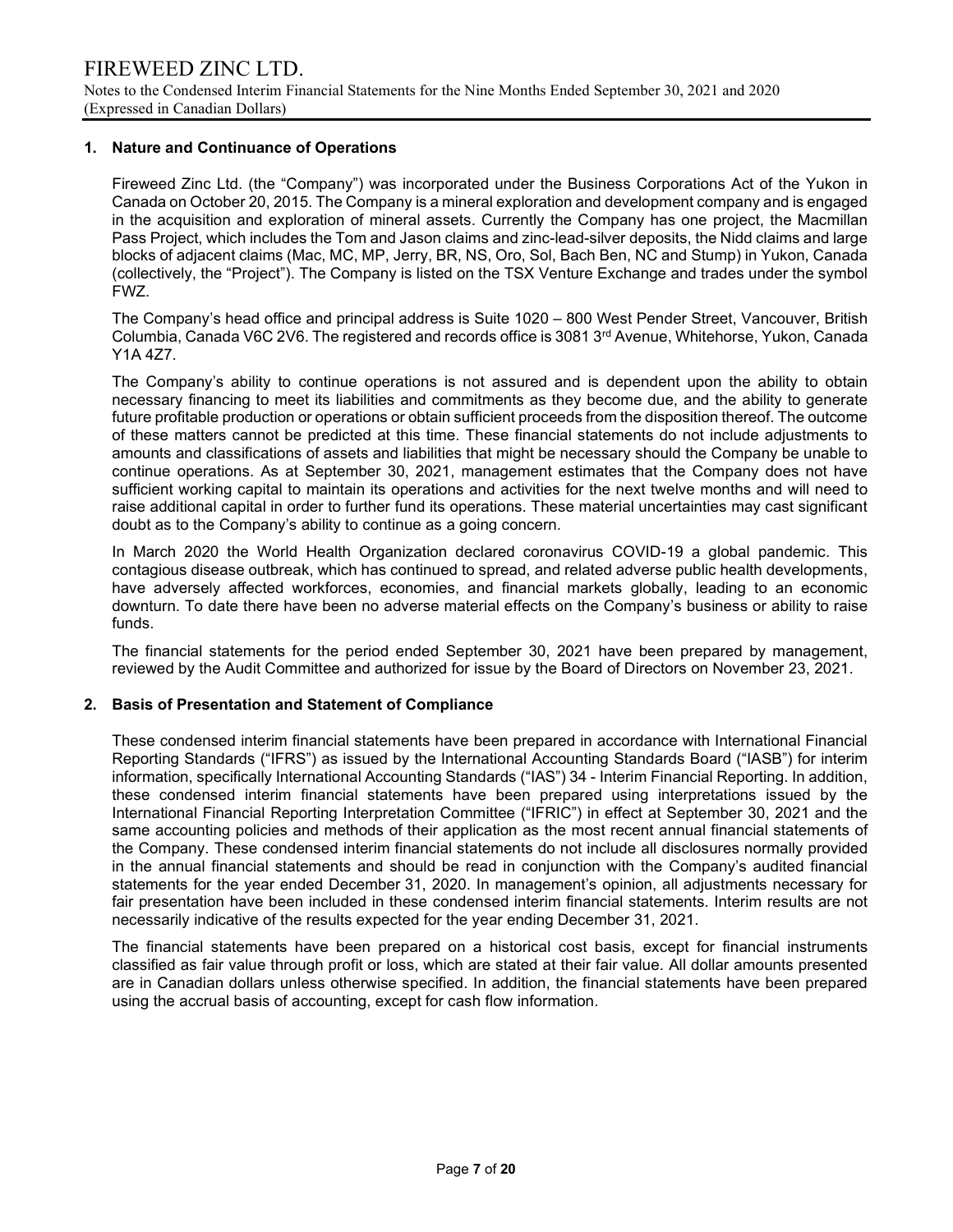#### 1. Nature and Continuance of Operations

Fireweed Zinc Ltd. (the "Company") was incorporated under the Business Corporations Act of the Yukon in Canada on October 20, 2015. The Company is a mineral exploration and development company and is engaged in the acquisition and exploration of mineral assets. Currently the Company has one project, the Macmillan Pass Project, which includes the Tom and Jason claims and zinc-lead-silver deposits, the Nidd claims and large blocks of adjacent claims (Mac, MC, MP, Jerry, BR, NS, Oro, Sol, Bach Ben, NC and Stump) in Yukon, Canada (collectively, the "Project"). The Company is listed on the TSX Venture Exchange and trades under the symbol FWZ.

The Company's head office and principal address is Suite 1020 – 800 West Pender Street, Vancouver, British Columbia, Canada V6C 2V6. The registered and records office is 3081 3rd Avenue, Whitehorse, Yukon, Canada Y1A 4Z7.

The Company's ability to continue operations is not assured and is dependent upon the ability to obtain necessary financing to meet its liabilities and commitments as they become due, and the ability to generate future profitable production or operations or obtain sufficient proceeds from the disposition thereof. The outcome of these matters cannot be predicted at this time. These financial statements do not include adjustments to amounts and classifications of assets and liabilities that might be necessary should the Company be unable to continue operations. As at September 30, 2021, management estimates that the Company does not have sufficient working capital to maintain its operations and activities for the next twelve months and will need to raise additional capital in order to further fund its operations. These material uncertainties may cast significant doubt as to the Company's ability to continue as a going concern.

In March 2020 the World Health Organization declared coronavirus COVID-19 a global pandemic. This contagious disease outbreak, which has continued to spread, and related adverse public health developments, have adversely affected workforces, economies, and financial markets globally, leading to an economic downturn. To date there have been no adverse material effects on the Company's business or ability to raise funds.

The financial statements for the period ended September 30, 2021 have been prepared by management, reviewed by the Audit Committee and authorized for issue by the Board of Directors on November 23, 2021.

#### 2. Basis of Presentation and Statement of Compliance

These condensed interim financial statements have been prepared in accordance with International Financial Reporting Standards ("IFRS") as issued by the International Accounting Standards Board ("IASB") for interim information, specifically International Accounting Standards ("IAS") 34 - Interim Financial Reporting. In addition, these condensed interim financial statements have been prepared using interpretations issued by the International Financial Reporting Interpretation Committee ("IFRIC") in effect at September 30, 2021 and the same accounting policies and methods of their application as the most recent annual financial statements of the Company. These condensed interim financial statements do not include all disclosures normally provided in the annual financial statements and should be read in conjunction with the Company's audited financial statements for the year ended December 31, 2020. In management's opinion, all adjustments necessary for fair presentation have been included in these condensed interim financial statements. Interim results are not necessarily indicative of the results expected for the year ending December 31, 2021.

The financial statements have been prepared on a historical cost basis, except for financial instruments classified as fair value through profit or loss, which are stated at their fair value. All dollar amounts presented are in Canadian dollars unless otherwise specified. In addition, the financial statements have been prepared using the accrual basis of accounting, except for cash flow information.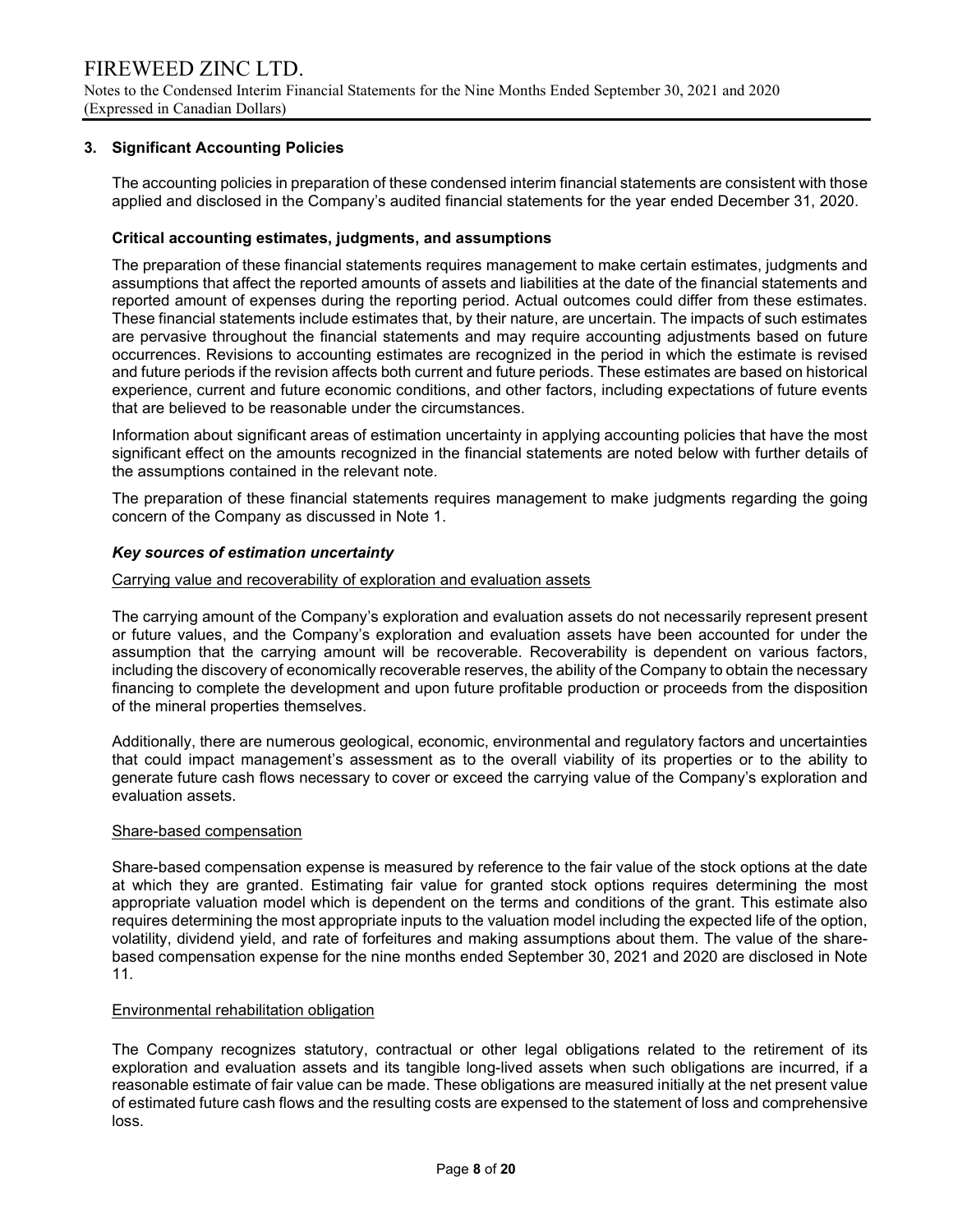### 3. Significant Accounting Policies

The accounting policies in preparation of these condensed interim financial statements are consistent with those applied and disclosed in the Company's audited financial statements for the year ended December 31, 2020.

#### Critical accounting estimates, judgments, and assumptions

The preparation of these financial statements requires management to make certain estimates, judgments and assumptions that affect the reported amounts of assets and liabilities at the date of the financial statements and reported amount of expenses during the reporting period. Actual outcomes could differ from these estimates. These financial statements include estimates that, by their nature, are uncertain. The impacts of such estimates are pervasive throughout the financial statements and may require accounting adjustments based on future occurrences. Revisions to accounting estimates are recognized in the period in which the estimate is revised and future periods if the revision affects both current and future periods. These estimates are based on historical experience, current and future economic conditions, and other factors, including expectations of future events that are believed to be reasonable under the circumstances.

Information about significant areas of estimation uncertainty in applying accounting policies that have the most significant effect on the amounts recognized in the financial statements are noted below with further details of the assumptions contained in the relevant note.

The preparation of these financial statements requires management to make judgments regarding the going concern of the Company as discussed in Note 1.

#### Key sources of estimation uncertainty

#### Carrying value and recoverability of exploration and evaluation assets

The carrying amount of the Company's exploration and evaluation assets do not necessarily represent present or future values, and the Company's exploration and evaluation assets have been accounted for under the assumption that the carrying amount will be recoverable. Recoverability is dependent on various factors, including the discovery of economically recoverable reserves, the ability of the Company to obtain the necessary financing to complete the development and upon future profitable production or proceeds from the disposition of the mineral properties themselves.

Additionally, there are numerous geological, economic, environmental and regulatory factors and uncertainties that could impact management's assessment as to the overall viability of its properties or to the ability to generate future cash flows necessary to cover or exceed the carrying value of the Company's exploration and evaluation assets.

#### Share-based compensation

Share-based compensation expense is measured by reference to the fair value of the stock options at the date at which they are granted. Estimating fair value for granted stock options requires determining the most appropriate valuation model which is dependent on the terms and conditions of the grant. This estimate also requires determining the most appropriate inputs to the valuation model including the expected life of the option, volatility, dividend yield, and rate of forfeitures and making assumptions about them. The value of the sharebased compensation expense for the nine months ended September 30, 2021 and 2020 are disclosed in Note 11.

#### Environmental rehabilitation obligation

The Company recognizes statutory, contractual or other legal obligations related to the retirement of its exploration and evaluation assets and its tangible long-lived assets when such obligations are incurred, if a reasonable estimate of fair value can be made. These obligations are measured initially at the net present value of estimated future cash flows and the resulting costs are expensed to the statement of loss and comprehensive loss.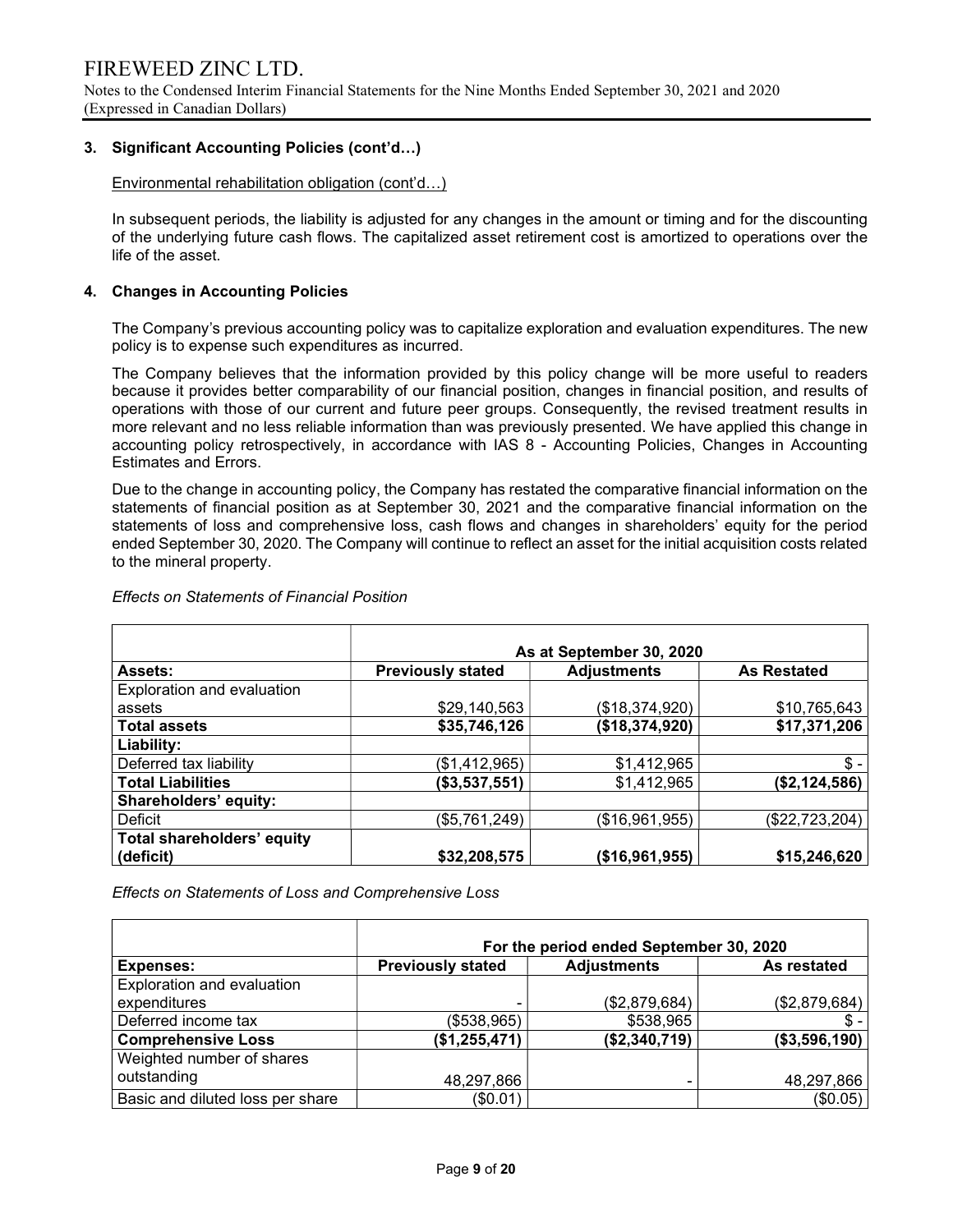### 3. Significant Accounting Policies (cont'd…)

Environmental rehabilitation obligation (cont'd…)

In subsequent periods, the liability is adjusted for any changes in the amount or timing and for the discounting of the underlying future cash flows. The capitalized asset retirement cost is amortized to operations over the life of the asset.

#### 4. Changes in Accounting Policies

The Company's previous accounting policy was to capitalize exploration and evaluation expenditures. The new policy is to expense such expenditures as incurred.

The Company believes that the information provided by this policy change will be more useful to readers because it provides better comparability of our financial position, changes in financial position, and results of operations with those of our current and future peer groups. Consequently, the revised treatment results in more relevant and no less reliable information than was previously presented. We have applied this change in accounting policy retrospectively, in accordance with IAS 8 - Accounting Policies, Changes in Accounting Estimates and Errors.

Due to the change in accounting policy, the Company has restated the comparative financial information on the statements of financial position as at September 30, 2021 and the comparative financial information on the statements of loss and comprehensive loss, cash flows and changes in shareholders' equity for the period ended September 30, 2020. The Company will continue to reflect an asset for the initial acquisition costs related to the mineral property.

|                                   | As at September 30, 2020 |                    |                    |  |  |  |  |  |  |  |
|-----------------------------------|--------------------------|--------------------|--------------------|--|--|--|--|--|--|--|
| <b>Assets:</b>                    | <b>Previously stated</b> | <b>Adjustments</b> | <b>As Restated</b> |  |  |  |  |  |  |  |
| Exploration and evaluation        |                          |                    |                    |  |  |  |  |  |  |  |
| assets                            | \$29,140,563             | (\$18,374,920)     | \$10,765,643       |  |  |  |  |  |  |  |
| <b>Total assets</b>               | \$35,746,126             | (\$18,374,920)     | \$17,371,206       |  |  |  |  |  |  |  |
| Liability:                        |                          |                    |                    |  |  |  |  |  |  |  |
| Deferred tax liability            | (\$1,412,965)            | \$1,412,965        | $$ -$              |  |  |  |  |  |  |  |
| <b>Total Liabilities</b>          | (\$3,537,551)            | \$1,412,965        | (\$2,124,586)      |  |  |  |  |  |  |  |
| Shareholders' equity:             |                          |                    |                    |  |  |  |  |  |  |  |
| Deficit                           | (\$5,761,249)            | (\$16,961,955)     | (\$22,723,204)     |  |  |  |  |  |  |  |
| <b>Total shareholders' equity</b> |                          |                    |                    |  |  |  |  |  |  |  |
| (deficit)                         | \$32,208,575             | (\$16,961,955)     | \$15,246,620       |  |  |  |  |  |  |  |

#### Effects on Statements of Financial Position

Effects on Statements of Loss and Comprehensive Loss

|                                  | For the period ended September 30, 2020 |                    |               |  |  |  |  |  |  |  |
|----------------------------------|-----------------------------------------|--------------------|---------------|--|--|--|--|--|--|--|
| Expenses:                        | <b>Previously stated</b>                | <b>Adjustments</b> | As restated   |  |  |  |  |  |  |  |
| Exploration and evaluation       |                                         |                    |               |  |  |  |  |  |  |  |
| expenditures                     |                                         | (\$2,879,684)      | (\$2,879,684) |  |  |  |  |  |  |  |
| Deferred income tax              | (\$538,965)                             | \$538,965          |               |  |  |  |  |  |  |  |
| <b>Comprehensive Loss</b>        | (\$1,255,471)                           | (\$2,340,719)      | (\$3,596,190) |  |  |  |  |  |  |  |
| Weighted number of shares        |                                         |                    |               |  |  |  |  |  |  |  |
| outstanding                      | 48,297,866                              |                    | 48,297,866    |  |  |  |  |  |  |  |
| Basic and diluted loss per share | (\$0.01)                                |                    | (\$0.05)      |  |  |  |  |  |  |  |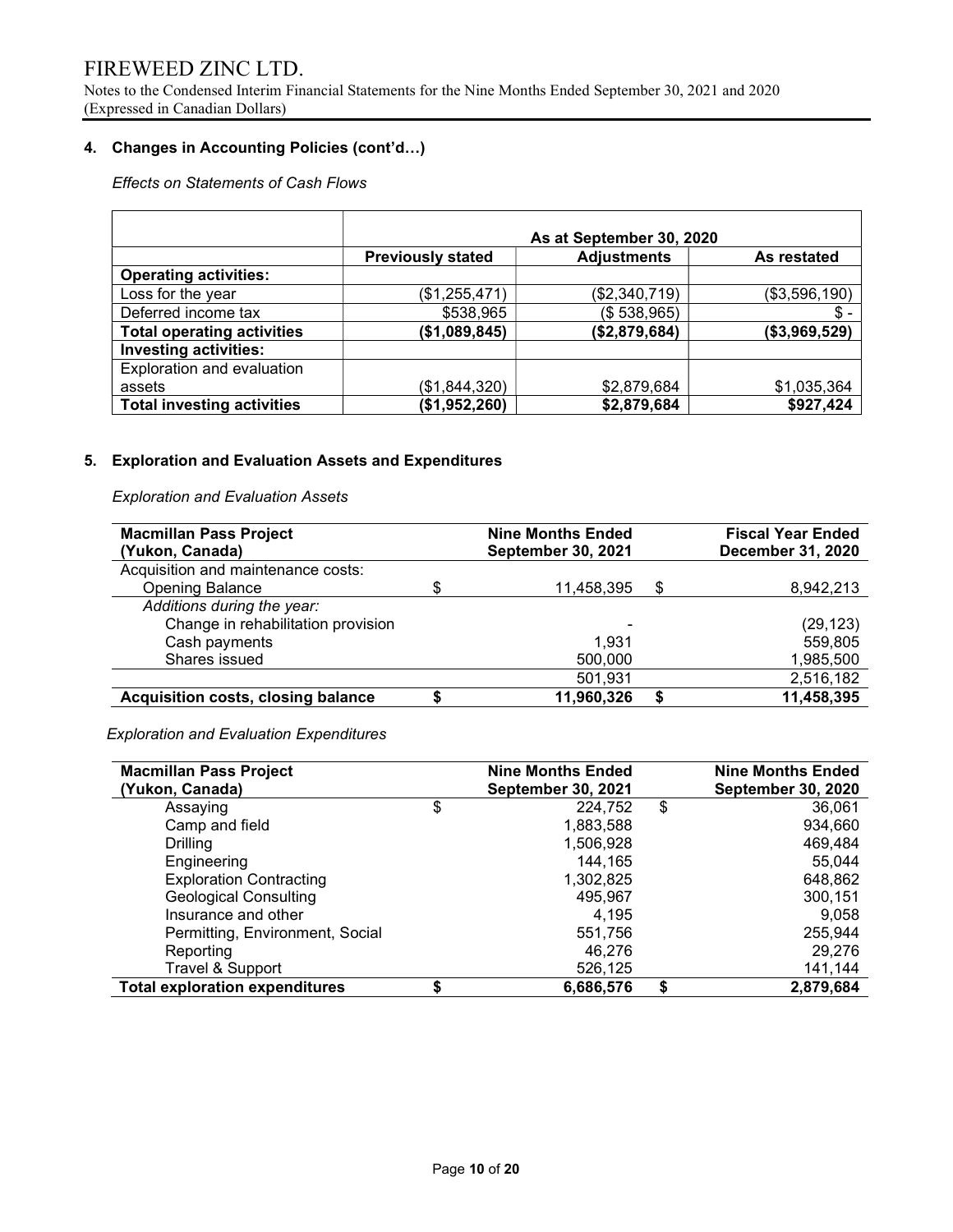Notes to the Condensed Interim Financial Statements for the Nine Months Ended September 30, 2021 and 2020 (Expressed in Canadian Dollars)

### 4. Changes in Accounting Policies (cont'd…)

### Effects on Statements of Cash Flows

|                                   | As at September 30, 2020 |                    |               |  |  |  |  |  |  |  |
|-----------------------------------|--------------------------|--------------------|---------------|--|--|--|--|--|--|--|
|                                   | <b>Previously stated</b> | <b>Adjustments</b> | As restated   |  |  |  |  |  |  |  |
| <b>Operating activities:</b>      |                          |                    |               |  |  |  |  |  |  |  |
| Loss for the year                 | (\$1,255,471)            | (\$2,340,719)      | (\$3,596,190) |  |  |  |  |  |  |  |
| Deferred income tax               | \$538,965                | (\$538,965)        | $\$\,.$       |  |  |  |  |  |  |  |
| <b>Total operating activities</b> | (\$1,089,845)            | (\$2,879,684)      | (\$3,969,529) |  |  |  |  |  |  |  |
| <b>Investing activities:</b>      |                          |                    |               |  |  |  |  |  |  |  |
| Exploration and evaluation        |                          |                    |               |  |  |  |  |  |  |  |
| assets                            | (\$1,844,320)            | \$2,879,684        | \$1,035,364   |  |  |  |  |  |  |  |
| <b>Total investing activities</b> | (\$1,952,260)            | \$2,879,684        | \$927,424     |  |  |  |  |  |  |  |

### 5. Exploration and Evaluation Assets and Expenditures

### Exploration and Evaluation Assets

| <b>Macmillan Pass Project</b>             | <b>Nine Months Ended</b>  | <b>Fiscal Year Ended</b> |
|-------------------------------------------|---------------------------|--------------------------|
| (Yukon, Canada)                           | <b>September 30, 2021</b> | December 31, 2020        |
| Acquisition and maintenance costs:        |                           |                          |
| <b>Opening Balance</b>                    | \$<br>11,458,395          | \$<br>8,942,213          |
| Additions during the year:                |                           |                          |
| Change in rehabilitation provision        | -                         | (29, 123)                |
| Cash payments                             | 1.931                     | 559,805                  |
| Shares issued                             | 500,000                   | 1,985,500                |
|                                           | 501,931                   | 2,516,182                |
| <b>Acquisition costs, closing balance</b> | 11,960,326                | 11,458,395               |

Exploration and Evaluation Expenditures

| <b>Macmillan Pass Project</b><br>(Yukon, Canada) | <b>Nine Months Ended</b><br><b>September 30, 2021</b> | <b>Nine Months Ended</b><br><b>September 30, 2020</b> |
|--------------------------------------------------|-------------------------------------------------------|-------------------------------------------------------|
| Assaying                                         | \$<br>224,752                                         | \$<br>36,061                                          |
| Camp and field                                   | 1,883,588                                             | 934,660                                               |
| Drilling                                         | 1,506,928                                             | 469,484                                               |
| Engineering                                      | 144,165                                               | 55,044                                                |
| <b>Exploration Contracting</b>                   | 1,302,825                                             | 648,862                                               |
| <b>Geological Consulting</b>                     | 495,967                                               | 300,151                                               |
| Insurance and other                              | 4.195                                                 | 9,058                                                 |
| Permitting, Environment, Social                  | 551,756                                               | 255,944                                               |
| Reporting                                        | 46.276                                                | 29,276                                                |
| Travel & Support                                 | 526,125                                               | 141,144                                               |
| <b>Total exploration expenditures</b>            | 6,686,576                                             | \$<br>2,879,684                                       |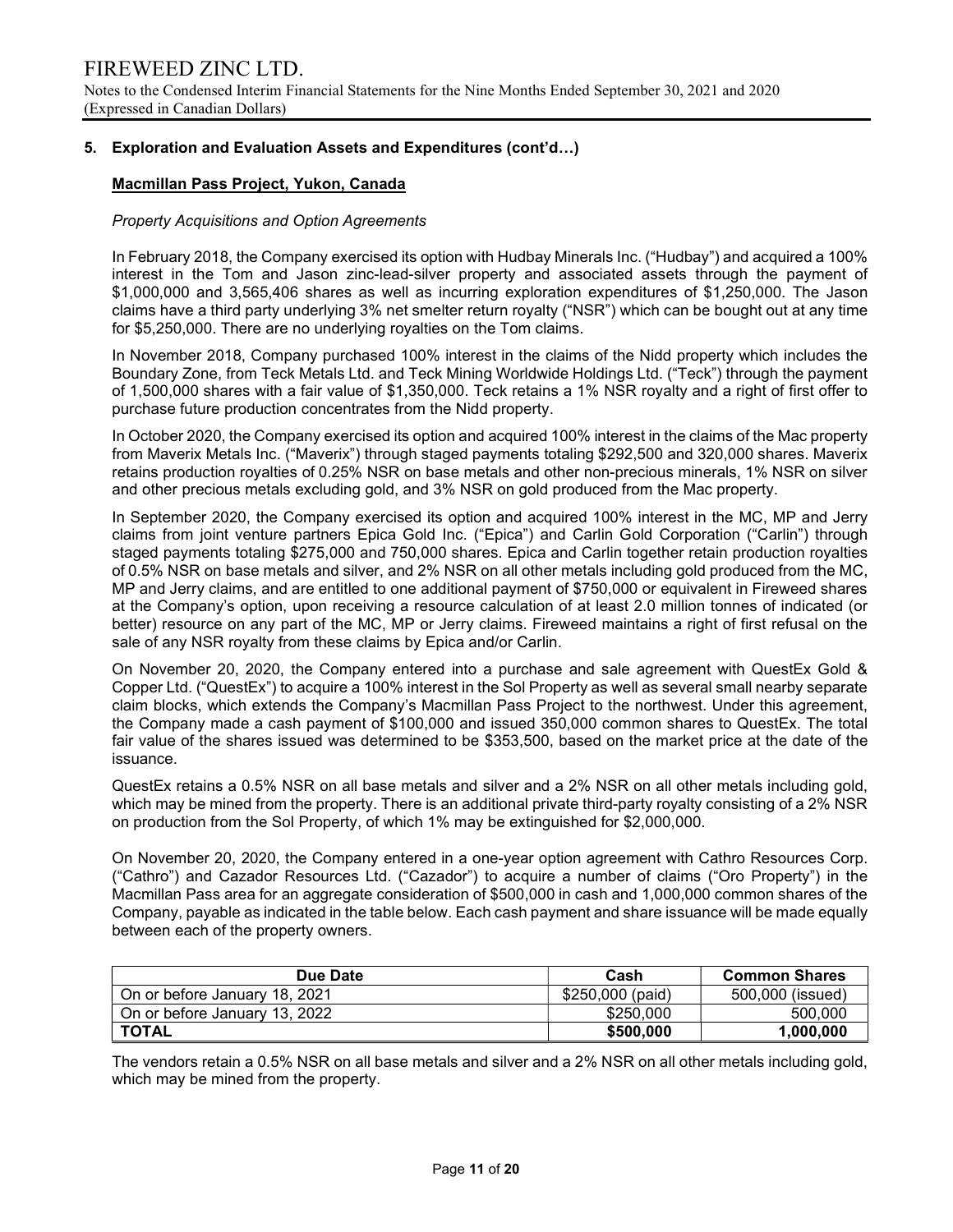Notes to the Condensed Interim Financial Statements for the Nine Months Ended September 30, 2021 and 2020 (Expressed in Canadian Dollars)

#### 5. Exploration and Evaluation Assets and Expenditures (cont'd…)

### Macmillan Pass Project, Yukon, Canada

#### Property Acquisitions and Option Agreements

In February 2018, the Company exercised its option with Hudbay Minerals Inc. ("Hudbay") and acquired a 100% interest in the Tom and Jason zinc-lead-silver property and associated assets through the payment of \$1,000,000 and 3,565,406 shares as well as incurring exploration expenditures of \$1,250,000. The Jason claims have a third party underlying 3% net smelter return royalty ("NSR") which can be bought out at any time for \$5,250,000. There are no underlying royalties on the Tom claims.

In November 2018, Company purchased 100% interest in the claims of the Nidd property which includes the Boundary Zone, from Teck Metals Ltd. and Teck Mining Worldwide Holdings Ltd. ("Teck") through the payment of 1,500,000 shares with a fair value of \$1,350,000. Teck retains a 1% NSR royalty and a right of first offer to purchase future production concentrates from the Nidd property.

In October 2020, the Company exercised its option and acquired 100% interest in the claims of the Mac property from Maverix Metals Inc. ("Maverix") through staged payments totaling \$292,500 and 320,000 shares. Maverix retains production royalties of 0.25% NSR on base metals and other non-precious minerals, 1% NSR on silver and other precious metals excluding gold, and 3% NSR on gold produced from the Mac property.

In September 2020, the Company exercised its option and acquired 100% interest in the MC, MP and Jerry claims from joint venture partners Epica Gold Inc. ("Epica") and Carlin Gold Corporation ("Carlin") through staged payments totaling \$275,000 and 750,000 shares. Epica and Carlin together retain production royalties of 0.5% NSR on base metals and silver, and 2% NSR on all other metals including gold produced from the MC, MP and Jerry claims, and are entitled to one additional payment of \$750,000 or equivalent in Fireweed shares at the Company's option, upon receiving a resource calculation of at least 2.0 million tonnes of indicated (or better) resource on any part of the MC, MP or Jerry claims. Fireweed maintains a right of first refusal on the sale of any NSR royalty from these claims by Epica and/or Carlin.

On November 20, 2020, the Company entered into a purchase and sale agreement with QuestEx Gold & Copper Ltd. ("QuestEx") to acquire a 100% interest in the Sol Property as well as several small nearby separate claim blocks, which extends the Company's Macmillan Pass Project to the northwest. Under this agreement, the Company made a cash payment of \$100,000 and issued 350,000 common shares to QuestEx. The total fair value of the shares issued was determined to be \$353,500, based on the market price at the date of the issuance.

QuestEx retains a 0.5% NSR on all base metals and silver and a 2% NSR on all other metals including gold, which may be mined from the property. There is an additional private third-party royalty consisting of a 2% NSR on production from the Sol Property, of which 1% may be extinguished for \$2,000,000.

On November 20, 2020, the Company entered in a one-year option agreement with Cathro Resources Corp. ("Cathro") and Cazador Resources Ltd. ("Cazador") to acquire a number of claims ("Oro Property") in the Macmillan Pass area for an aggregate consideration of \$500,000 in cash and 1,000,000 common shares of the Company, payable as indicated in the table below. Each cash payment and share issuance will be made equally between each of the property owners.

| Due Date                      | Cash             | <b>Common Shares</b> |
|-------------------------------|------------------|----------------------|
| On or before January 18, 2021 | \$250,000 (paid) | 500,000 (issued)     |
| On or before January 13, 2022 | \$250,000        | 500,000              |
| <b>TOTAL</b>                  | \$500,000        | 1,000,000            |

The vendors retain a 0.5% NSR on all base metals and silver and a 2% NSR on all other metals including gold, which may be mined from the property.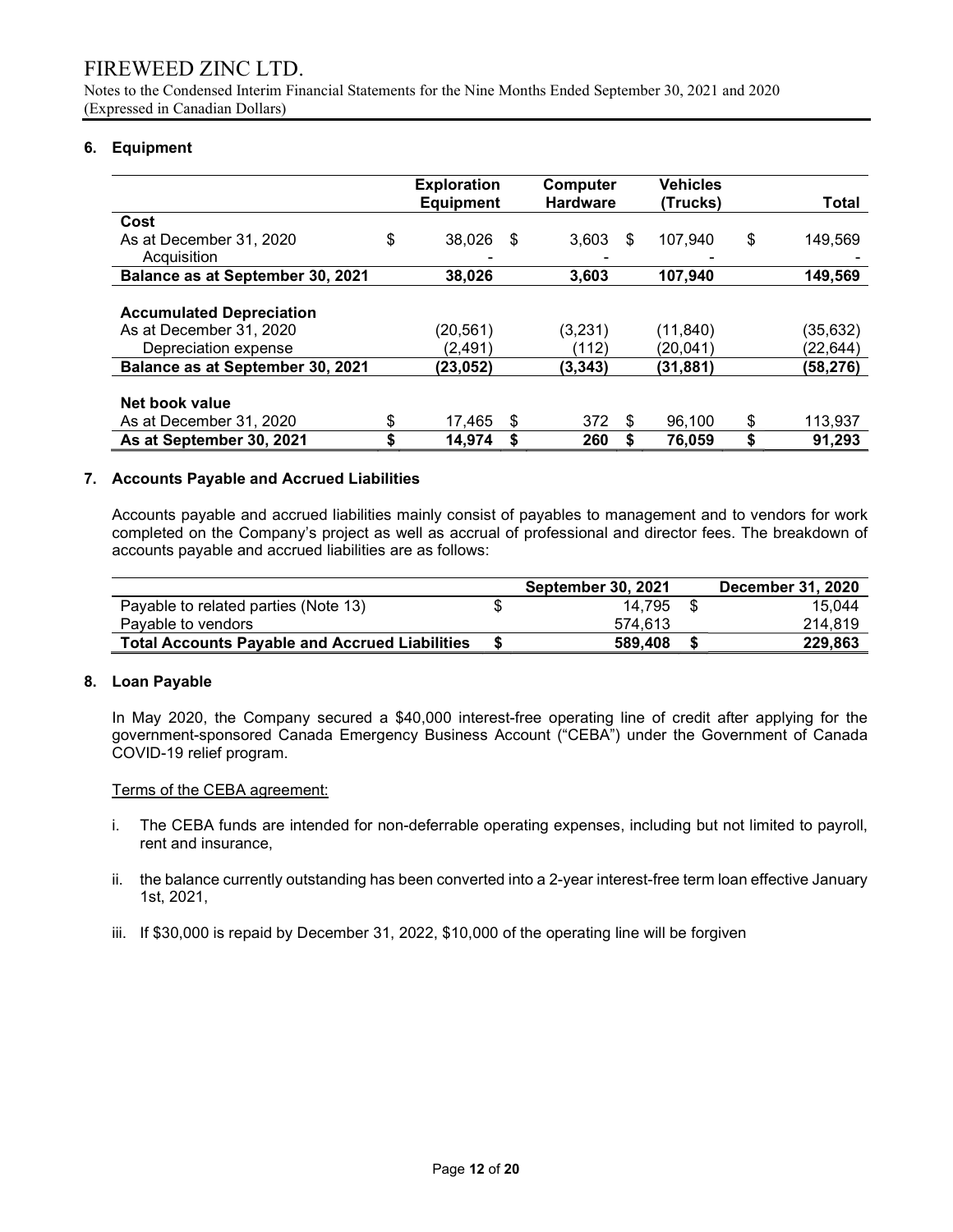Notes to the Condensed Interim Financial Statements for the Nine Months Ended September 30, 2021 and 2020 (Expressed in Canadian Dollars)

#### 6. Equipment

|                                  |    | <b>Exploration</b><br><b>Equipment</b> |    | <b>Computer</b><br><b>Hardware</b> |     | Vehicles<br>(Trucks) | Total         |
|----------------------------------|----|----------------------------------------|----|------------------------------------|-----|----------------------|---------------|
| Cost                             |    |                                        |    |                                    |     |                      |               |
| As at December 31, 2020          | \$ | 38.026                                 | -S | 3,603                              | \$. | 107,940              | \$<br>149,569 |
| Acquisition                      |    |                                        |    |                                    |     |                      |               |
| Balance as at September 30, 2021 |    | 38,026                                 |    | 3.603                              |     | 107.940              | 149,569       |
|                                  |    |                                        |    |                                    |     |                      |               |
| <b>Accumulated Depreciation</b>  |    |                                        |    |                                    |     |                      |               |
| As at December 31, 2020          |    | (20,561)                               |    | (3,231)                            |     | (11, 840)            | (35,632)      |
| Depreciation expense             |    | (2,491)                                |    | (112)                              |     | (20, 041)            | (22,644)      |
| Balance as at September 30, 2021 |    | (23,052)                               |    | (3, 343)                           |     | (31, 881)            | (58,276)      |
|                                  |    |                                        |    |                                    |     |                      |               |
| Net book value                   |    |                                        |    |                                    |     |                      |               |
| As at December 31, 2020          | S  | 17,465                                 | S  | 372                                | \$. | 96.100               | \$<br>113,937 |
| As at September 30, 2021         | \$ | 14,974                                 | S  | 260                                |     | 76,059               | \$<br>91,293  |

### 7. Accounts Payable and Accrued Liabilities

 Accounts payable and accrued liabilities mainly consist of payables to management and to vendors for work completed on the Company's project as well as accrual of professional and director fees. The breakdown of accounts payable and accrued liabilities are as follows:

|                                                       |   | <b>September 30, 2021</b> | December 31, 2020 |
|-------------------------------------------------------|---|---------------------------|-------------------|
| Payable to related parties (Note 13)                  | S | 14.795                    | 15.044            |
| Pavable to vendors                                    |   | 574.613                   | 214.819           |
| <b>Total Accounts Payable and Accrued Liabilities</b> |   | 589,408                   | 229,863           |

#### 8. Loan Payable

In May 2020, the Company secured a \$40,000 interest-free operating line of credit after applying for the government-sponsored Canada Emergency Business Account ("CEBA") under the Government of Canada COVID-19 relief program.

#### Terms of the CEBA agreement:

- i. The CEBA funds are intended for non-deferrable operating expenses, including but not limited to payroll, rent and insurance,
- ii. the balance currently outstanding has been converted into a 2-year interest-free term loan effective January 1st, 2021,
- iii. If \$30,000 is repaid by December 31, 2022, \$10,000 of the operating line will be forgiven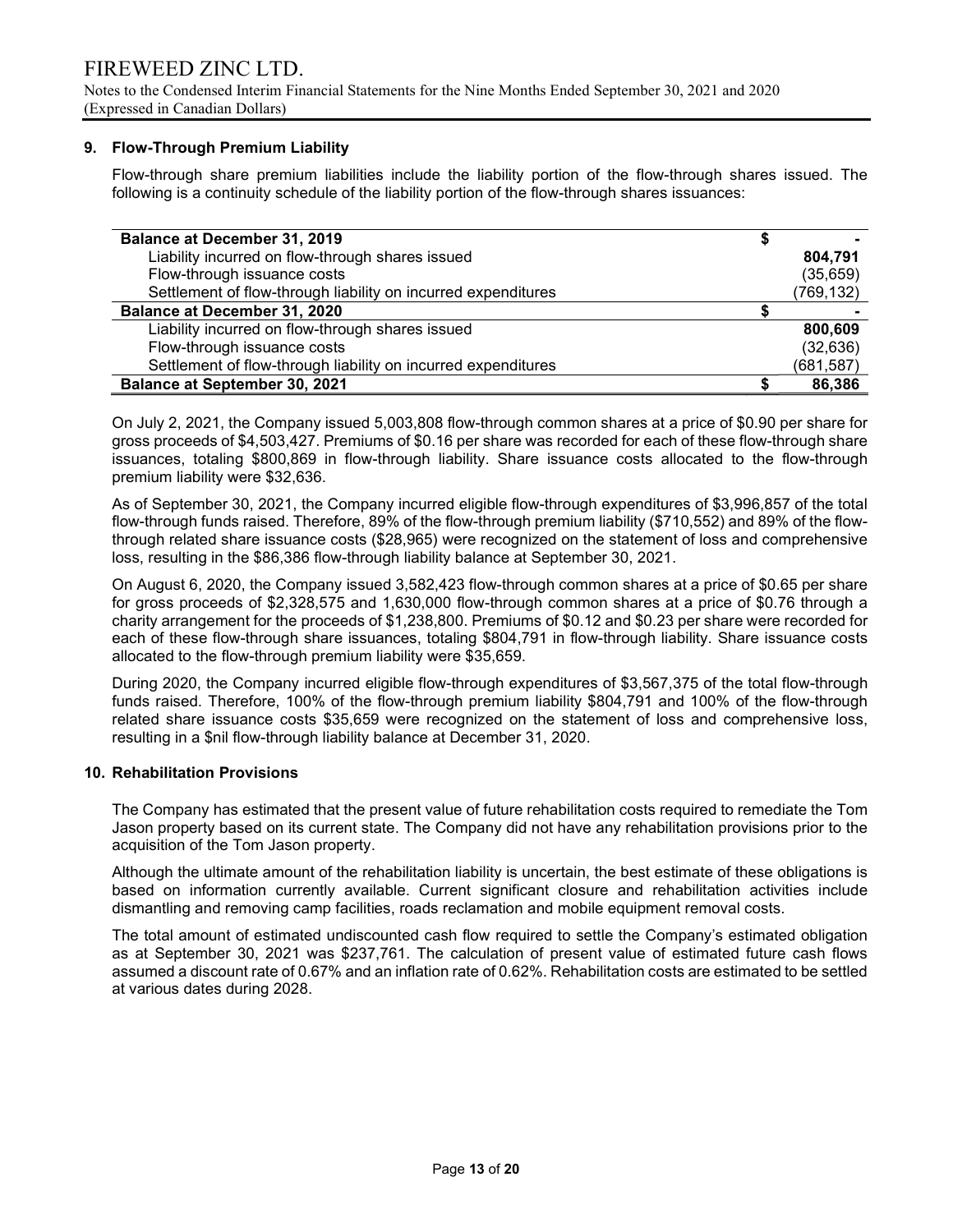Notes to the Condensed Interim Financial Statements for the Nine Months Ended September 30, 2021 and 2020 (Expressed in Canadian Dollars)

### 9. Flow-Through Premium Liability

Flow-through share premium liabilities include the liability portion of the flow-through shares issued. The following is a continuity schedule of the liability portion of the flow-through shares issuances:

| <b>Balance at December 31, 2019</b>                           |            |
|---------------------------------------------------------------|------------|
| Liability incurred on flow-through shares issued              | 804.791    |
| Flow-through issuance costs                                   | (35, 659)  |
| Settlement of flow-through liability on incurred expenditures | (769, 132) |
| <b>Balance at December 31, 2020</b>                           |            |
| Liability incurred on flow-through shares issued              | 800,609    |
| Flow-through issuance costs                                   | (32, 636)  |
| Settlement of flow-through liability on incurred expenditures | (681, 587) |
| <b>Balance at September 30, 2021</b>                          | 86,386     |

On July 2, 2021, the Company issued 5,003,808 flow-through common shares at a price of \$0.90 per share for gross proceeds of \$4,503,427. Premiums of \$0.16 per share was recorded for each of these flow-through share issuances, totaling \$800,869 in flow-through liability. Share issuance costs allocated to the flow-through premium liability were \$32,636.

As of September 30, 2021, the Company incurred eligible flow-through expenditures of \$3,996,857 of the total flow-through funds raised. Therefore, 89% of the flow-through premium liability (\$710,552) and 89% of the flowthrough related share issuance costs (\$28,965) were recognized on the statement of loss and comprehensive loss, resulting in the \$86,386 flow-through liability balance at September 30, 2021.

On August 6, 2020, the Company issued 3,582,423 flow-through common shares at a price of \$0.65 per share for gross proceeds of \$2,328,575 and 1,630,000 flow-through common shares at a price of \$0.76 through a charity arrangement for the proceeds of \$1,238,800. Premiums of \$0.12 and \$0.23 per share were recorded for each of these flow-through share issuances, totaling \$804,791 in flow-through liability. Share issuance costs allocated to the flow-through premium liability were \$35,659.

During 2020, the Company incurred eligible flow-through expenditures of \$3,567,375 of the total flow-through funds raised. Therefore, 100% of the flow-through premium liability \$804,791 and 100% of the flow-through related share issuance costs \$35,659 were recognized on the statement of loss and comprehensive loss, resulting in a \$nil flow-through liability balance at December 31, 2020.

#### 10. Rehabilitation Provisions

The Company has estimated that the present value of future rehabilitation costs required to remediate the Tom Jason property based on its current state. The Company did not have any rehabilitation provisions prior to the acquisition of the Tom Jason property.

Although the ultimate amount of the rehabilitation liability is uncertain, the best estimate of these obligations is based on information currently available. Current significant closure and rehabilitation activities include dismantling and removing camp facilities, roads reclamation and mobile equipment removal costs.

The total amount of estimated undiscounted cash flow required to settle the Company's estimated obligation as at September 30, 2021 was \$237,761. The calculation of present value of estimated future cash flows assumed a discount rate of 0.67% and an inflation rate of 0.62%. Rehabilitation costs are estimated to be settled at various dates during 2028.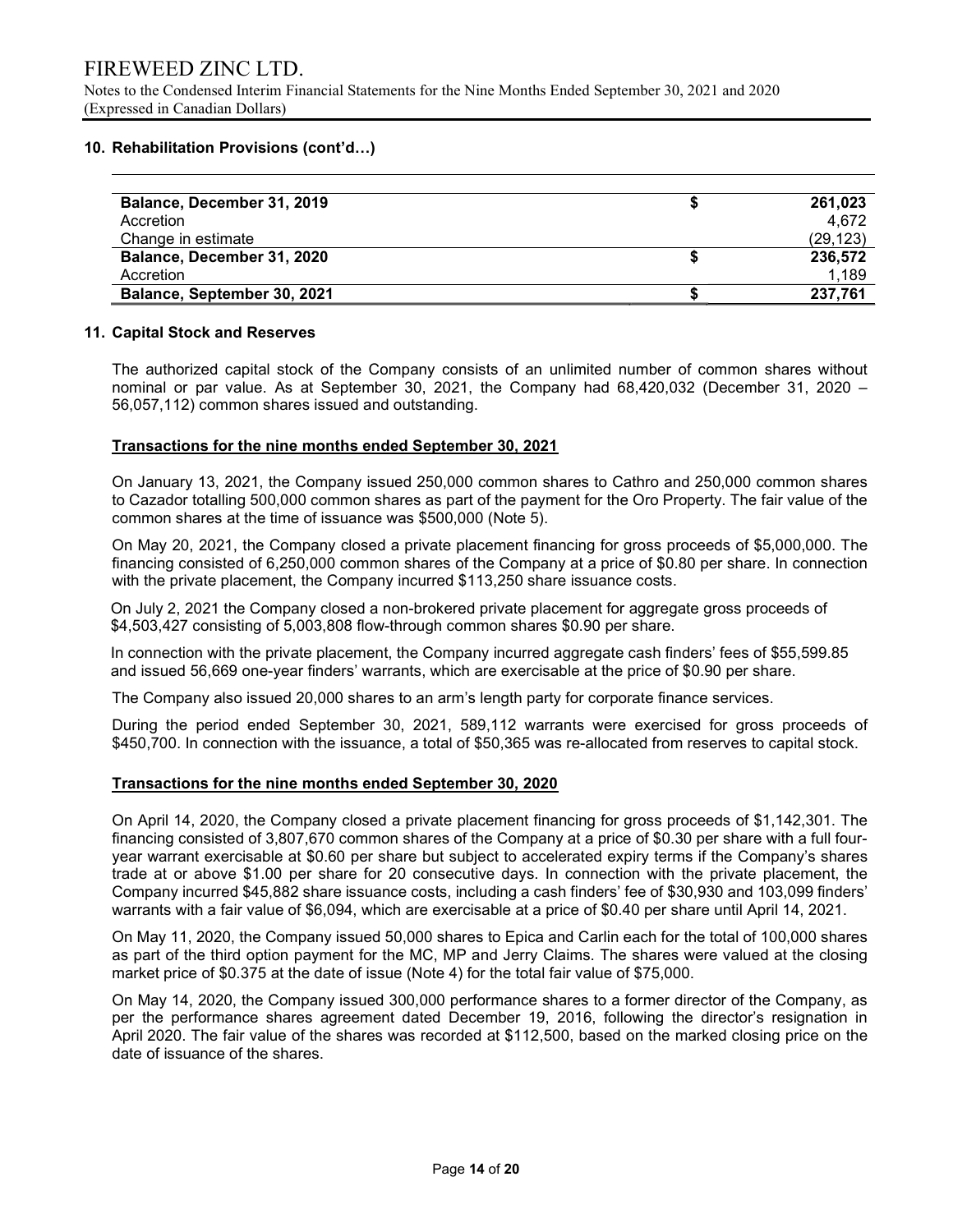### 10. Rehabilitation Provisions (cont'd…)

| Balance, December 31, 2019  | 261,023  |
|-----------------------------|----------|
| Accretion                   | 4.672    |
| Change in estimate          | (29,123) |
| Balance, December 31, 2020  | 236,572  |
| Accretion                   | 1,189    |
| Balance, September 30, 2021 | 237,761  |

### 11. Capital Stock and Reserves

The authorized capital stock of the Company consists of an unlimited number of common shares without nominal or par value. As at September 30, 2021, the Company had 68,420,032 (December 31, 2020 – 56,057,112) common shares issued and outstanding.

### Transactions for the nine months ended September 30, 2021

On January 13, 2021, the Company issued 250,000 common shares to Cathro and 250,000 common shares to Cazador totalling 500,000 common shares as part of the payment for the Oro Property. The fair value of the common shares at the time of issuance was \$500,000 (Note 5).

On May 20, 2021, the Company closed a private placement financing for gross proceeds of \$5,000,000. The financing consisted of 6,250,000 common shares of the Company at a price of \$0.80 per share. In connection with the private placement, the Company incurred \$113,250 share issuance costs.

 On July 2, 2021 the Company closed a non-brokered private placement for aggregate gross proceeds of \$4,503,427 consisting of 5,003,808 flow-through common shares \$0.90 per share.

In connection with the private placement, the Company incurred aggregate cash finders' fees of \$55,599.85 and issued 56,669 one-year finders' warrants, which are exercisable at the price of \$0.90 per share.

The Company also issued 20,000 shares to an arm's length party for corporate finance services.

During the period ended September 30, 2021, 589,112 warrants were exercised for gross proceeds of \$450,700. In connection with the issuance, a total of \$50,365 was re-allocated from reserves to capital stock.

#### Transactions for the nine months ended September 30, 2020

On April 14, 2020, the Company closed a private placement financing for gross proceeds of \$1,142,301. The financing consisted of 3,807,670 common shares of the Company at a price of \$0.30 per share with a full fouryear warrant exercisable at \$0.60 per share but subject to accelerated expiry terms if the Company's shares trade at or above \$1.00 per share for 20 consecutive days. In connection with the private placement, the Company incurred \$45,882 share issuance costs, including a cash finders' fee of \$30,930 and 103,099 finders' warrants with a fair value of \$6,094, which are exercisable at a price of \$0.40 per share until April 14, 2021.

On May 11, 2020, the Company issued 50,000 shares to Epica and Carlin each for the total of 100,000 shares as part of the third option payment for the MC, MP and Jerry Claims. The shares were valued at the closing market price of \$0.375 at the date of issue (Note 4) for the total fair value of \$75,000.

On May 14, 2020, the Company issued 300,000 performance shares to a former director of the Company, as per the performance shares agreement dated December 19, 2016, following the director's resignation in April 2020. The fair value of the shares was recorded at \$112,500, based on the marked closing price on the date of issuance of the shares.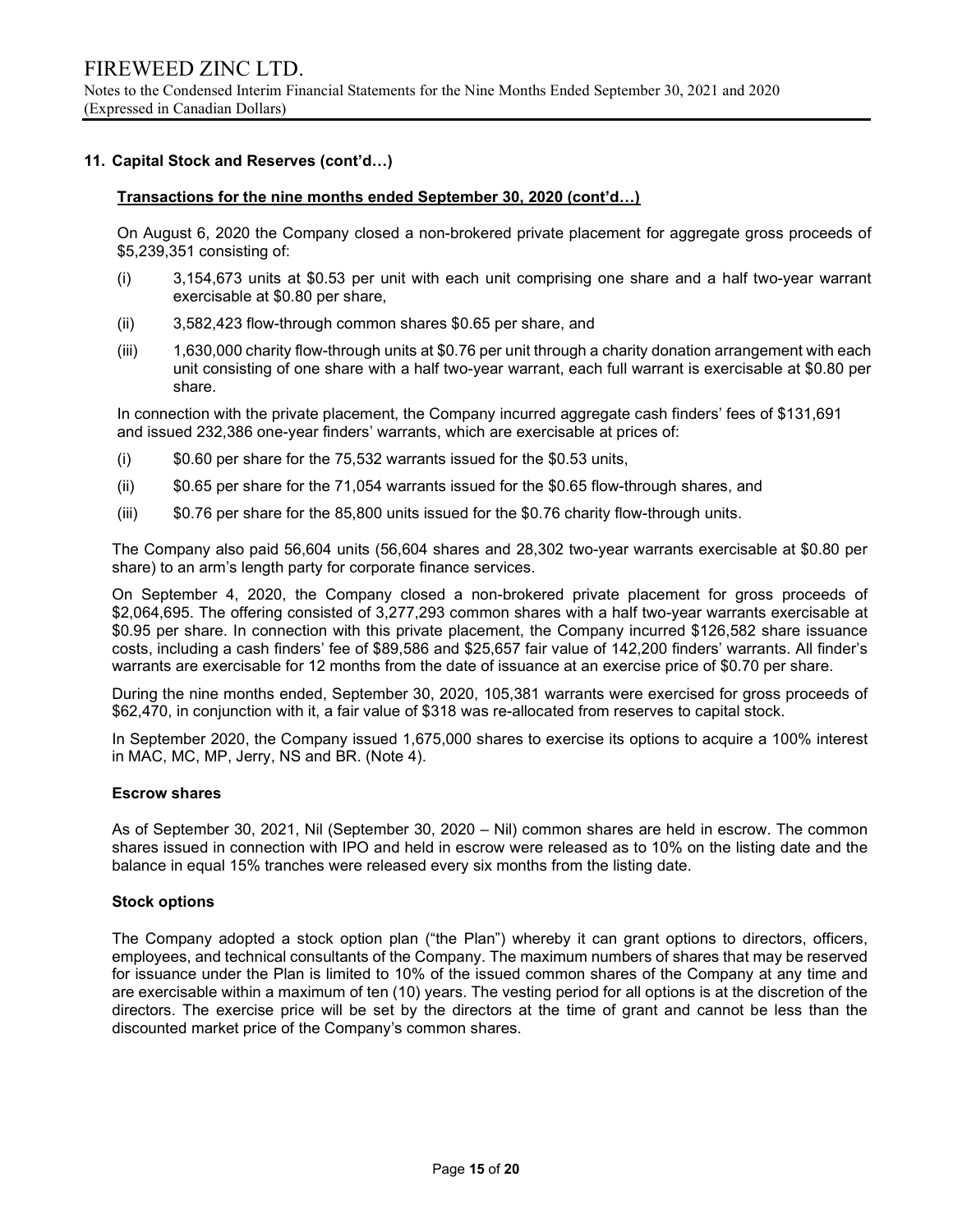#### 11. Capital Stock and Reserves (cont'd…)

#### Transactions for the nine months ended September 30, 2020 (cont'd…)

On August 6, 2020 the Company closed a non-brokered private placement for aggregate gross proceeds of \$5,239,351 consisting of:

- (i) 3,154,673 units at \$0.53 per unit with each unit comprising one share and a half two-year warrant exercisable at \$0.80 per share,
- (ii) 3,582,423 flow-through common shares \$0.65 per share, and
- (iii) 1,630,000 charity flow-through units at \$0.76 per unit through a charity donation arrangement with each unit consisting of one share with a half two-year warrant, each full warrant is exercisable at \$0.80 per share.

In connection with the private placement, the Company incurred aggregate cash finders' fees of \$131,691 and issued 232,386 one-year finders' warrants, which are exercisable at prices of:

- $(i)$  \$0.60 per share for the 75,532 warrants issued for the \$0.53 units,
- (ii) \$0.65 per share for the 71,054 warrants issued for the \$0.65 flow-through shares, and
- (iii) \$0.76 per share for the 85,800 units issued for the \$0.76 charity flow-through units.

The Company also paid 56,604 units (56,604 shares and 28,302 two-year warrants exercisable at \$0.80 per share) to an arm's length party for corporate finance services.

On September 4, 2020, the Company closed a non-brokered private placement for gross proceeds of \$2,064,695. The offering consisted of 3,277,293 common shares with a half two-year warrants exercisable at \$0.95 per share. In connection with this private placement, the Company incurred \$126,582 share issuance costs, including a cash finders' fee of \$89,586 and \$25,657 fair value of 142,200 finders' warrants. All finder's warrants are exercisable for 12 months from the date of issuance at an exercise price of \$0.70 per share.

During the nine months ended, September 30, 2020, 105,381 warrants were exercised for gross proceeds of \$62,470, in conjunction with it, a fair value of \$318 was re-allocated from reserves to capital stock.

In September 2020, the Company issued 1,675,000 shares to exercise its options to acquire a 100% interest in MAC, MC, MP, Jerry, NS and BR. (Note 4).

#### Escrow shares

As of September 30, 2021, Nil (September 30, 2020 – Nil) common shares are held in escrow. The common shares issued in connection with IPO and held in escrow were released as to 10% on the listing date and the balance in equal 15% tranches were released every six months from the listing date.

#### Stock options

The Company adopted a stock option plan ("the Plan") whereby it can grant options to directors, officers, employees, and technical consultants of the Company. The maximum numbers of shares that may be reserved for issuance under the Plan is limited to 10% of the issued common shares of the Company at any time and are exercisable within a maximum of ten (10) years. The vesting period for all options is at the discretion of the directors. The exercise price will be set by the directors at the time of grant and cannot be less than the discounted market price of the Company's common shares.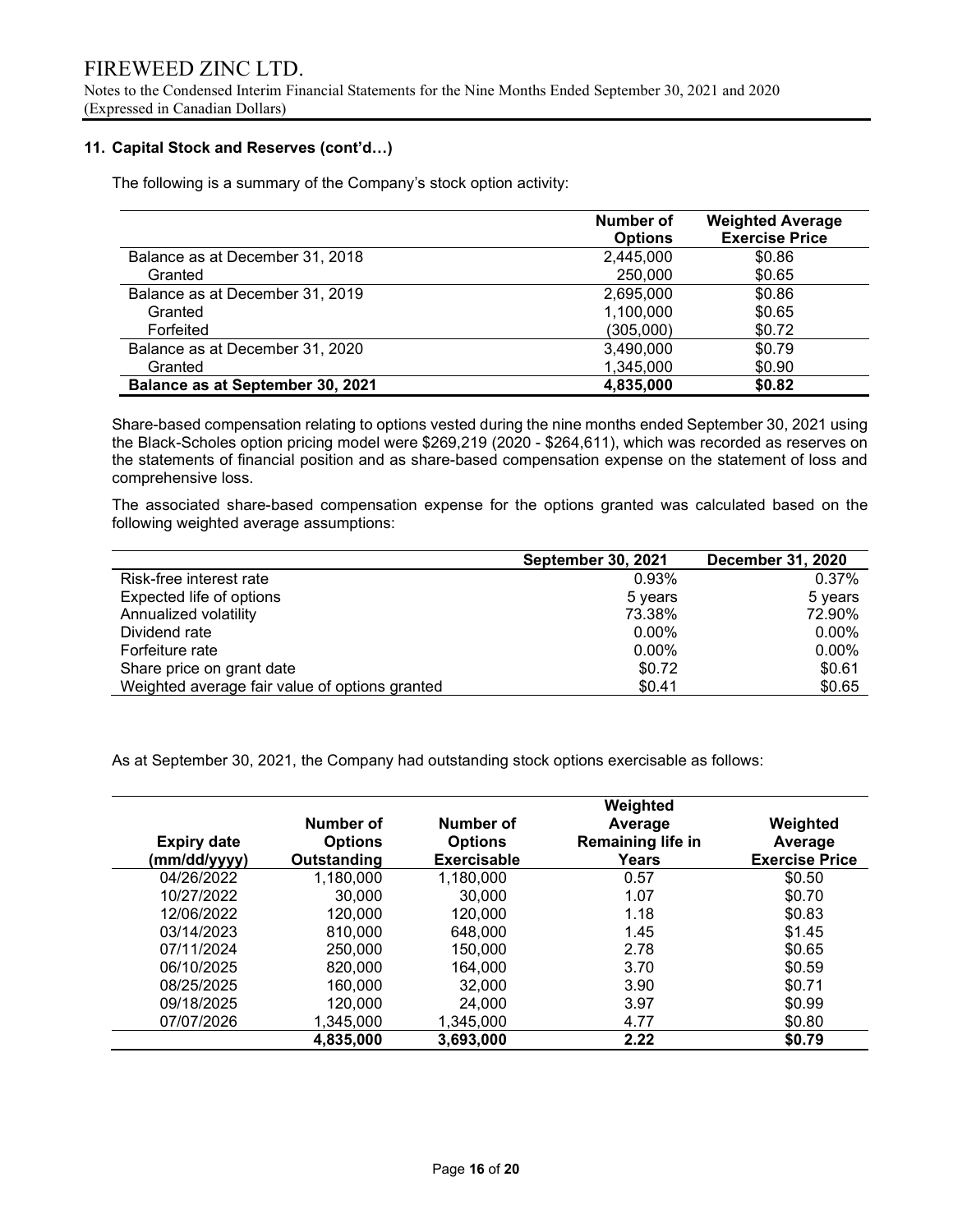Notes to the Condensed Interim Financial Statements for the Nine Months Ended September 30, 2021 and 2020 (Expressed in Canadian Dollars)

#### 11. Capital Stock and Reserves (cont'd…)

The following is a summary of the Company's stock option activity:

|                                  | Number of      | <b>Weighted Average</b> |
|----------------------------------|----------------|-------------------------|
|                                  | <b>Options</b> | <b>Exercise Price</b>   |
| Balance as at December 31, 2018  | 2,445,000      | \$0.86                  |
| Granted                          | 250,000        | \$0.65                  |
| Balance as at December 31, 2019  | 2,695,000      | \$0.86                  |
| Granted                          | 1,100,000      | \$0.65                  |
| Forfeited                        | (305,000)      | \$0.72                  |
| Balance as at December 31, 2020  | 3,490,000      | \$0.79                  |
| Granted                          | 1,345,000      | \$0.90                  |
| Balance as at September 30, 2021 | 4,835,000      | \$0.82                  |

Share-based compensation relating to options vested during the nine months ended September 30, 2021 using the Black-Scholes option pricing model were \$269,219 (2020 - \$264,611), which was recorded as reserves on the statements of financial position and as share-based compensation expense on the statement of loss and comprehensive loss.

The associated share-based compensation expense for the options granted was calculated based on the following weighted average assumptions:

|                                                | <b>September 30, 2021</b> | <b>December 31, 2020</b> |
|------------------------------------------------|---------------------------|--------------------------|
| Risk-free interest rate                        | 0.93%                     | 0.37%                    |
| Expected life of options                       | 5 years                   | 5 years                  |
| Annualized volatility                          | 73.38%                    | 72.90%                   |
| Dividend rate                                  | $0.00\%$                  | 0.00%                    |
| Forfeiture rate                                | $0.00\%$                  | 0.00%                    |
| Share price on grant date                      | \$0.72                    | \$0.61                   |
| Weighted average fair value of options granted | \$0.41                    | \$0.65                   |

As at September 30, 2021, the Company had outstanding stock options exercisable as follows:

| <b>Expiry date</b><br>(mm/dd/yyyy) | Number of<br><b>Options</b><br>Outstanding | Number of<br><b>Options</b><br>Exercisable | Weighted<br>Average<br>Remaining life in<br>Years | Weighted<br>Average<br><b>Exercise Price</b> |
|------------------------------------|--------------------------------------------|--------------------------------------------|---------------------------------------------------|----------------------------------------------|
| 04/26/2022                         | 1,180,000                                  | 1,180,000                                  | 0.57                                              | \$0.50                                       |
| 10/27/2022                         | 30,000                                     | 30,000                                     | 1.07                                              | \$0.70                                       |
| 12/06/2022                         | 120,000                                    | 120,000                                    | 1.18                                              | \$0.83                                       |
| 03/14/2023                         | 810,000                                    | 648,000                                    | 1.45                                              | \$1.45                                       |
| 07/11/2024                         | 250,000                                    | 150,000                                    | 2.78                                              | \$0.65                                       |
| 06/10/2025                         | 820,000                                    | 164.000                                    | 3.70                                              | \$0.59                                       |
| 08/25/2025                         | 160,000                                    | 32,000                                     | 3.90                                              | \$0.71                                       |
| 09/18/2025                         | 120,000                                    | 24.000                                     | 3.97                                              | \$0.99                                       |
| 07/07/2026                         | 1,345,000                                  | 1,345,000                                  | 4.77                                              | \$0.80                                       |
|                                    | 4,835,000                                  | 3,693,000                                  | 2.22                                              | \$0.79                                       |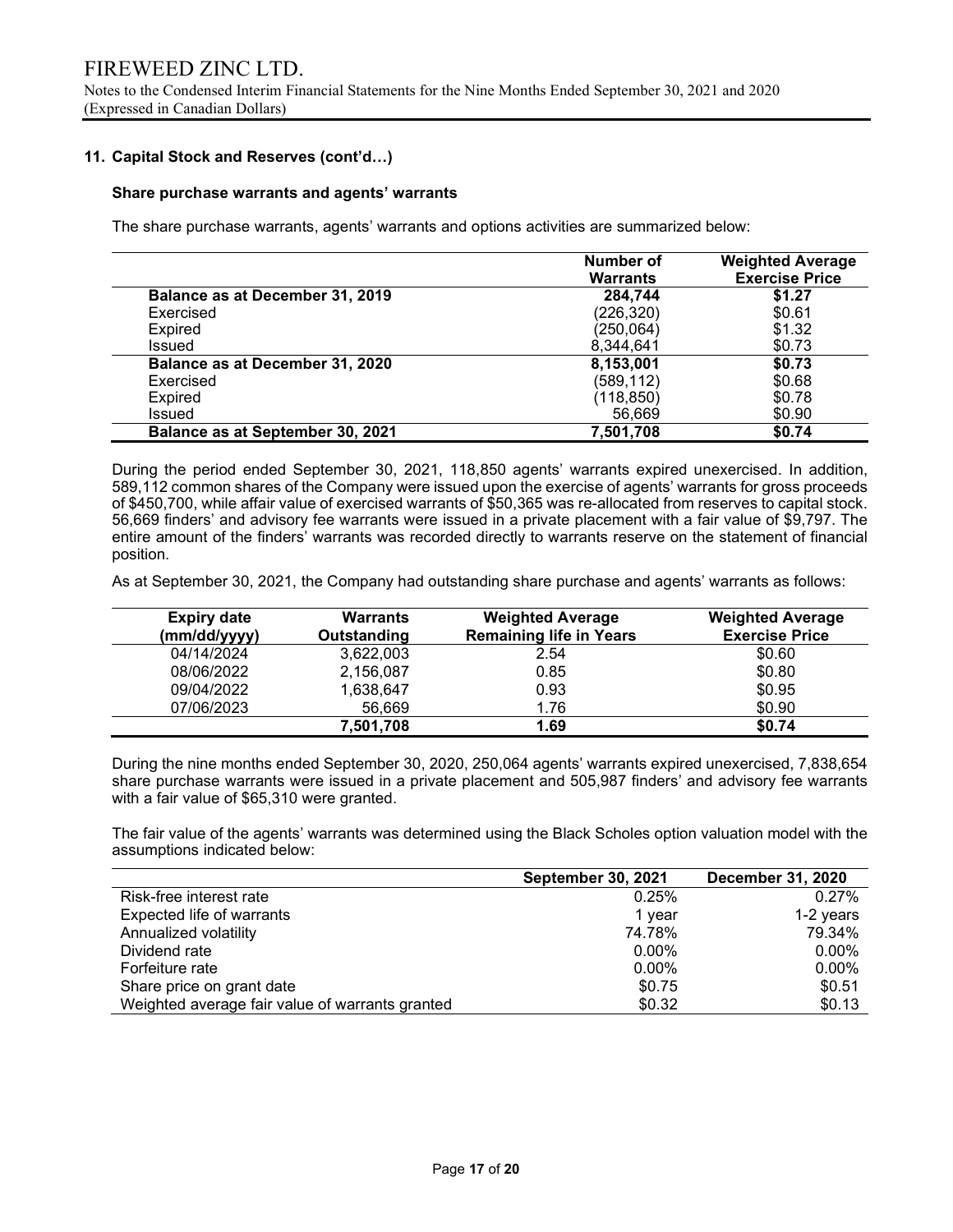#### 11. Capital Stock and Reserves (cont'd…)

#### Share purchase warrants and agents' warrants

The share purchase warrants, agents' warrants and options activities are summarized below:

|                                  | <b>Number of</b><br><b>Warrants</b> | <b>Weighted Average</b><br><b>Exercise Price</b> |
|----------------------------------|-------------------------------------|--------------------------------------------------|
| Balance as at December 31, 2019  | 284,744                             | \$1.27                                           |
| Exercised                        | (226, 320)                          | \$0.61                                           |
| Expired                          | (250,064)                           | \$1.32                                           |
| <b>Issued</b>                    | 8,344,641                           | \$0.73                                           |
| Balance as at December 31, 2020  | 8,153,001                           | \$0.73                                           |
| Exercised                        | (589, 112)                          | \$0.68                                           |
| Expired                          | (118, 850)                          | \$0.78                                           |
| <b>Issued</b>                    | 56,669                              | \$0.90                                           |
| Balance as at September 30, 2021 | 7,501,708                           | \$0.74                                           |

During the period ended September 30, 2021, 118,850 agents' warrants expired unexercised. In addition, 589,112 common shares of the Company were issued upon the exercise of agents' warrants for gross proceeds of \$450,700, while affair value of exercised warrants of \$50,365 was re-allocated from reserves to capital stock. 56,669 finders' and advisory fee warrants were issued in a private placement with a fair value of \$9,797. The entire amount of the finders' warrants was recorded directly to warrants reserve on the statement of financial position.

As at September 30, 2021, the Company had outstanding share purchase and agents' warrants as follows:

| <b>Expiry date</b> | <b>Warrants</b> | <b>Weighted Average</b>        | <b>Weighted Average</b> |
|--------------------|-----------------|--------------------------------|-------------------------|
| (mm/dd/yyyy)       | Outstanding     | <b>Remaining life in Years</b> | <b>Exercise Price</b>   |
| 04/14/2024         | 3,622,003       | 2.54                           | \$0.60                  |
| 08/06/2022         | 2,156,087       | 0.85                           | \$0.80                  |
| 09/04/2022         | 1,638,647       | 0.93                           | \$0.95                  |
| 07/06/2023         | 56.669          | 1.76                           | \$0.90                  |
|                    | 7,501,708       | 1.69                           | \$0.74                  |

During the nine months ended September 30, 2020, 250,064 agents' warrants expired unexercised, 7,838,654 share purchase warrants were issued in a private placement and 505,987 finders' and advisory fee warrants with a fair value of \$65,310 were granted.

The fair value of the agents' warrants was determined using the Black Scholes option valuation model with the assumptions indicated below:

|                                                 | <b>September 30, 2021</b> | <b>December 31, 2020</b> |
|-------------------------------------------------|---------------------------|--------------------------|
| Risk-free interest rate                         | 0.25%                     | $0.27\%$                 |
| Expected life of warrants                       | 1 year                    | 1-2 years                |
| Annualized volatility                           | 74.78%                    | 79.34%                   |
| Dividend rate                                   | $0.00\%$                  | $0.00\%$                 |
| Forfeiture rate                                 | $0.00\%$                  | 0.00%                    |
| Share price on grant date                       | \$0.75                    | \$0.51                   |
| Weighted average fair value of warrants granted | \$0.32                    | \$0.13                   |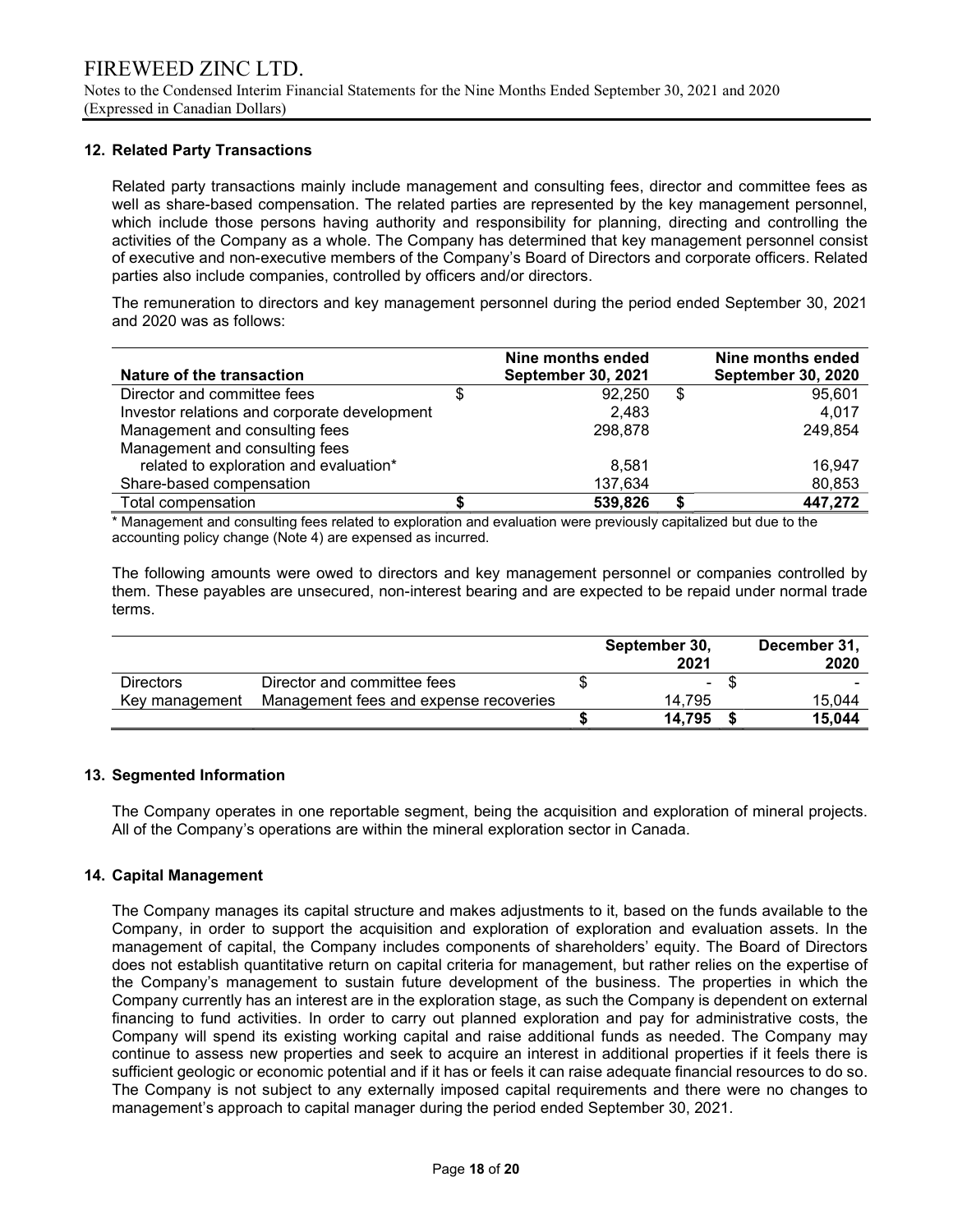### 12. Related Party Transactions

Related party transactions mainly include management and consulting fees, director and committee fees as well as share-based compensation. The related parties are represented by the key management personnel, which include those persons having authority and responsibility for planning, directing and controlling the activities of the Company as a whole. The Company has determined that key management personnel consist of executive and non-executive members of the Company's Board of Directors and corporate officers. Related parties also include companies, controlled by officers and/or directors.

The remuneration to directors and key management personnel during the period ended September 30, 2021 and 2020 was as follows:

|                                              | Nine months ended         | Nine months ended         |
|----------------------------------------------|---------------------------|---------------------------|
| Nature of the transaction                    | <b>September 30, 2021</b> | <b>September 30, 2020</b> |
| Director and committee fees                  | 92.250                    | \$<br>95.601              |
| Investor relations and corporate development | 2.483                     | 4.017                     |
| Management and consulting fees               | 298.878                   | 249,854                   |
| Management and consulting fees               |                           |                           |
| related to exploration and evaluation*       | 8.581                     | 16.947                    |
| Share-based compensation                     | 137,634                   | 80,853                    |
| Total compensation                           | 539,826                   | 447,272                   |

\* Management and consulting fees related to exploration and evaluation were previously capitalized but due to the accounting policy change (Note 4) are expensed as incurred.

The following amounts were owed to directors and key management personnel or companies controlled by them. These payables are unsecured, non-interest bearing and are expected to be repaid under normal trade terms.

|                  |                                        | September 30,<br>2021 | December 31,<br>2020 |
|------------------|----------------------------------------|-----------------------|----------------------|
| <b>Directors</b> | Director and committee fees            | $\sim$                | \$                   |
| Key management   | Management fees and expense recoveries | 14.795                | 15.044               |
|                  |                                        | 14,795                | 15.044               |

#### 13. Segmented Information

 The Company operates in one reportable segment, being the acquisition and exploration of mineral projects. All of the Company's operations are within the mineral exploration sector in Canada.

#### 14. Capital Management

The Company manages its capital structure and makes adjustments to it, based on the funds available to the Company, in order to support the acquisition and exploration of exploration and evaluation assets. In the management of capital, the Company includes components of shareholders' equity. The Board of Directors does not establish quantitative return on capital criteria for management, but rather relies on the expertise of the Company's management to sustain future development of the business. The properties in which the Company currently has an interest are in the exploration stage, as such the Company is dependent on external financing to fund activities. In order to carry out planned exploration and pay for administrative costs, the Company will spend its existing working capital and raise additional funds as needed. The Company may continue to assess new properties and seek to acquire an interest in additional properties if it feels there is sufficient geologic or economic potential and if it has or feels it can raise adequate financial resources to do so. The Company is not subject to any externally imposed capital requirements and there were no changes to management's approach to capital manager during the period ended September 30, 2021.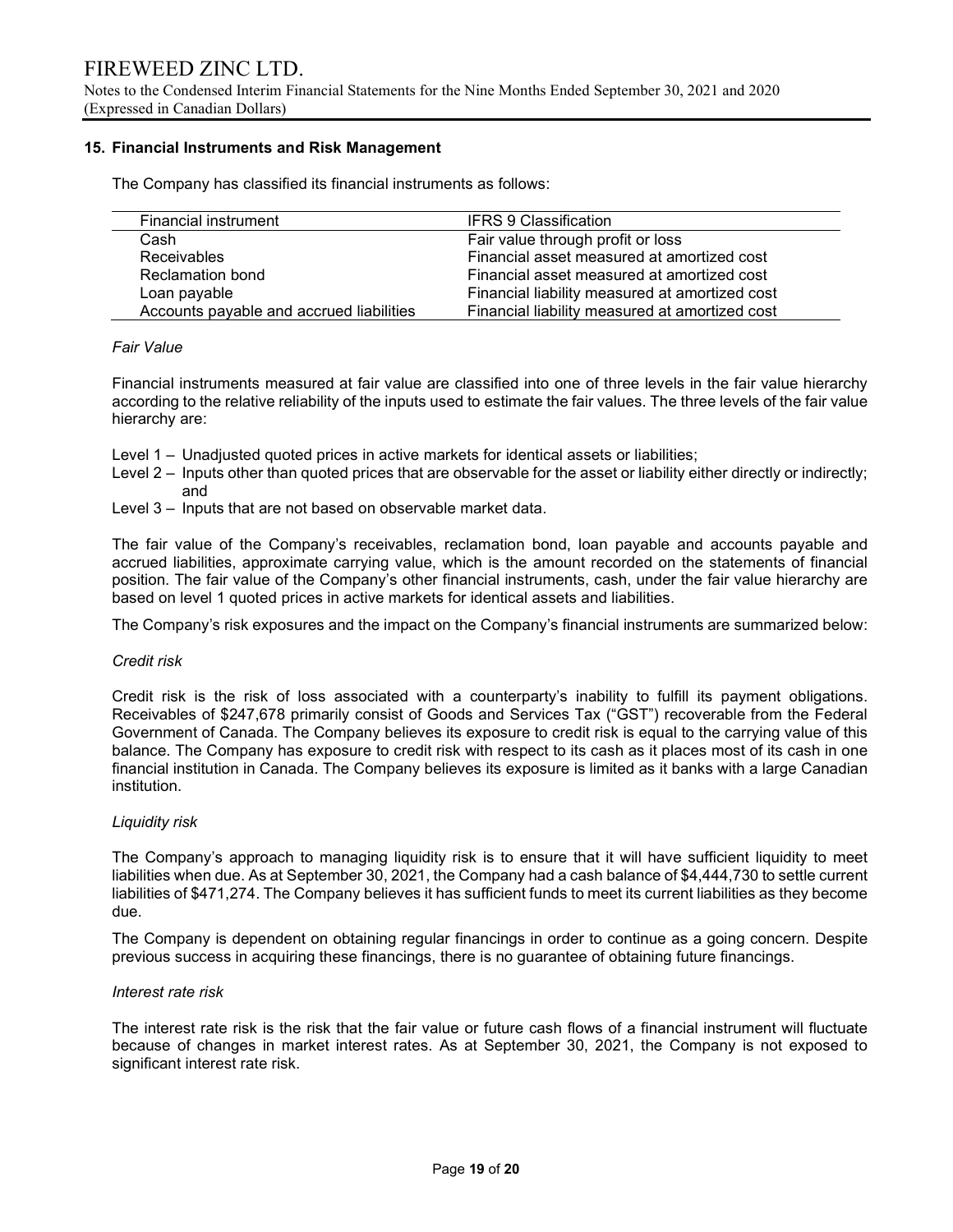Notes to the Condensed Interim Financial Statements for the Nine Months Ended September 30, 2021 and 2020 (Expressed in Canadian Dollars)

#### 15. Financial Instruments and Risk Management

The Company has classified its financial instruments as follows:

| Financial instrument                     | <b>IFRS 9 Classification</b>                   |
|------------------------------------------|------------------------------------------------|
| Cash                                     | Fair value through profit or loss              |
| <b>Receivables</b>                       | Financial asset measured at amortized cost     |
| <b>Reclamation bond</b>                  | Financial asset measured at amortized cost     |
| Loan payable                             | Financial liability measured at amortized cost |
| Accounts payable and accrued liabilities | Financial liability measured at amortized cost |

#### Fair Value

Financial instruments measured at fair value are classified into one of three levels in the fair value hierarchy according to the relative reliability of the inputs used to estimate the fair values. The three levels of the fair value hierarchy are:

- Level 1 Unadjusted quoted prices in active markets for identical assets or liabilities;
- Level 2 Inputs other than quoted prices that are observable for the asset or liability either directly or indirectly; and
- Level 3 Inputs that are not based on observable market data.

The fair value of the Company's receivables, reclamation bond, loan payable and accounts payable and accrued liabilities, approximate carrying value, which is the amount recorded on the statements of financial position. The fair value of the Company's other financial instruments, cash, under the fair value hierarchy are based on level 1 quoted prices in active markets for identical assets and liabilities.

The Company's risk exposures and the impact on the Company's financial instruments are summarized below:

#### Credit risk

Credit risk is the risk of loss associated with a counterparty's inability to fulfill its payment obligations. Receivables of \$247,678 primarily consist of Goods and Services Tax ("GST") recoverable from the Federal Government of Canada. The Company believes its exposure to credit risk is equal to the carrying value of this balance. The Company has exposure to credit risk with respect to its cash as it places most of its cash in one financial institution in Canada. The Company believes its exposure is limited as it banks with a large Canadian institution.

#### Liquidity risk

The Company's approach to managing liquidity risk is to ensure that it will have sufficient liquidity to meet liabilities when due. As at September 30, 2021, the Company had a cash balance of \$4,444,730 to settle current liabilities of \$471,274. The Company believes it has sufficient funds to meet its current liabilities as they become due.

The Company is dependent on obtaining regular financings in order to continue as a going concern. Despite previous success in acquiring these financings, there is no guarantee of obtaining future financings.

#### Interest rate risk

The interest rate risk is the risk that the fair value or future cash flows of a financial instrument will fluctuate because of changes in market interest rates. As at September 30, 2021, the Company is not exposed to significant interest rate risk.